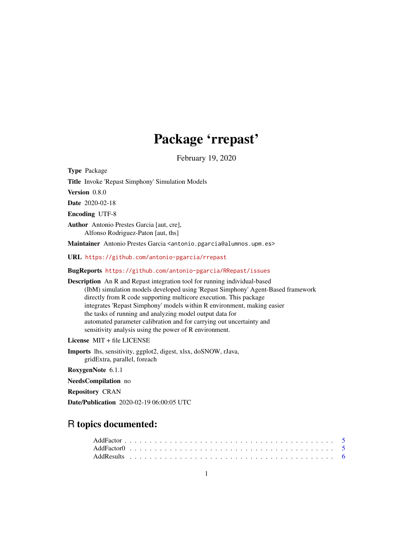# Package 'rrepast'

February 19, 2020

Type Package

Title Invoke 'Repast Simphony' Simulation Models

Version 0.8.0

Date 2020-02-18

Encoding UTF-8

Author Antonio Prestes Garcia [aut, cre], Alfonso Rodriguez-Paton [aut, ths]

Maintainer Antonio Prestes Garcia <antonio.pgarcia@alumnos.upm.es>

URL <https://github.com/antonio-pgarcia/rrepast>

BugReports <https://github.com/antonio-pgarcia/RRepast/issues>

Description An R and Repast integration tool for running individual-based (IbM) simulation models developed using 'Repast Simphony' Agent-Based framework directly from R code supporting multicore execution. This package integrates 'Repast Simphony' models within R environment, making easier the tasks of running and analyzing model output data for automated parameter calibration and for carrying out uncertainty and sensitivity analysis using the power of R environment.

License MIT + file LICENSE

Imports lhs, sensitivity, ggplot2, digest, xlsx, doSNOW, rJava, gridExtra, parallel, foreach

RoxygenNote 6.1.1

NeedsCompilation no

Repository CRAN

Date/Publication 2020-02-19 06:00:05 UTC

# R topics documented: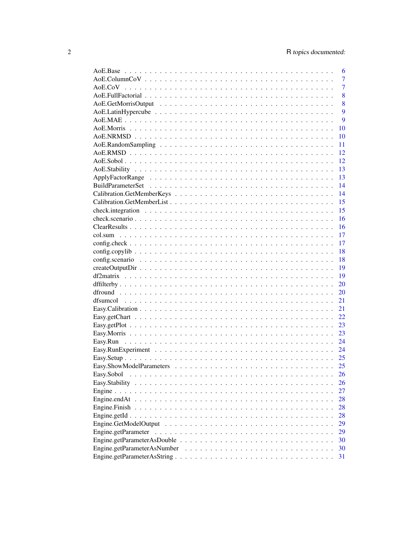|            | 6              |
|------------|----------------|
|            | $\overline{7}$ |
|            | $\overline{7}$ |
|            | 8              |
|            | 8              |
|            | 9              |
|            | 9              |
|            | 10             |
|            | 10             |
|            | 11             |
|            | 12             |
|            | 12             |
|            | 13             |
|            | 13             |
|            | 14             |
|            | 14             |
|            | 15             |
|            | 15             |
|            | 16             |
|            | 16             |
|            | 17             |
|            | 17             |
|            | 18             |
|            | 18             |
|            | 19             |
|            | 19             |
|            | 20             |
|            | 20             |
|            | 21             |
|            | 21             |
|            | 22             |
|            | 23             |
|            | 23             |
|            | 24             |
|            | 24             |
|            |                |
|            | 25             |
| Easy.Sobol | 26             |
|            | 26             |
|            | 27             |
|            | 28             |
|            | 28             |
|            | 28             |
|            | 29             |
|            | 29             |
|            | 30             |
|            | 30             |
|            | 31             |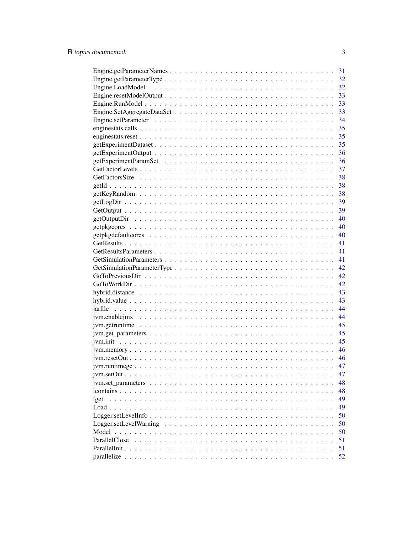|                                                                                                           | 31   |
|-----------------------------------------------------------------------------------------------------------|------|
|                                                                                                           | 32   |
|                                                                                                           | 32   |
|                                                                                                           | 33   |
|                                                                                                           | 33   |
|                                                                                                           |      |
|                                                                                                           |      |
|                                                                                                           |      |
|                                                                                                           |      |
|                                                                                                           |      |
|                                                                                                           |      |
|                                                                                                           |      |
|                                                                                                           |      |
|                                                                                                           |      |
|                                                                                                           |      |
|                                                                                                           |      |
|                                                                                                           |      |
|                                                                                                           |      |
|                                                                                                           |      |
|                                                                                                           |      |
|                                                                                                           | 40   |
|                                                                                                           | 41   |
|                                                                                                           | 41   |
|                                                                                                           |      |
|                                                                                                           |      |
|                                                                                                           |      |
|                                                                                                           |      |
|                                                                                                           |      |
|                                                                                                           |      |
|                                                                                                           | 44   |
|                                                                                                           | 44   |
|                                                                                                           | 45   |
|                                                                                                           |      |
|                                                                                                           |      |
|                                                                                                           |      |
|                                                                                                           | - 46 |
|                                                                                                           | 47   |
|                                                                                                           | 47   |
|                                                                                                           | 48   |
|                                                                                                           | 48   |
| lget                                                                                                      | 49   |
|                                                                                                           | 49   |
| $Logger.setLevelInfo \dots \dots \dots \dots \dots \dots \dots \dots \dots \dots \dots \dots \dots \dots$ | 50   |
| Logger.setLevelWarning                                                                                    | 50   |
| Model                                                                                                     | 50   |
| ParallelClose                                                                                             | 51   |
| ParallelInit.                                                                                             | 51   |
|                                                                                                           | 52   |
|                                                                                                           |      |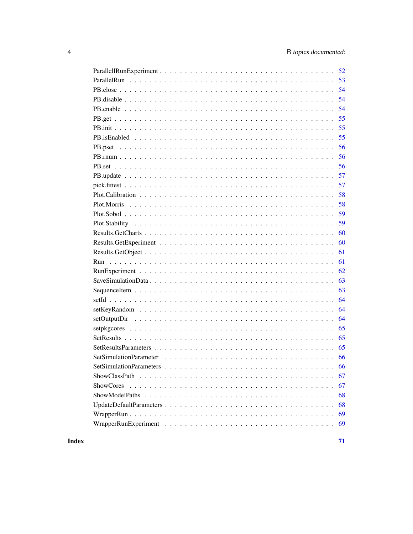| 52 |
|----|
| 53 |
| 54 |
| 54 |
| 54 |
| 55 |
| 55 |
| 55 |
| 56 |
| 56 |
| 56 |
| 57 |
| 57 |
| 58 |
| 58 |
| 59 |
| 59 |
| 60 |
| 60 |
| 61 |
| 61 |
| 62 |
| 63 |
| 63 |
| 64 |
| 64 |
| 64 |
| 65 |
| 65 |
| 65 |
| 66 |
|    |
| 67 |
| 67 |
| 68 |
| 68 |
| 69 |
| 69 |

**Index**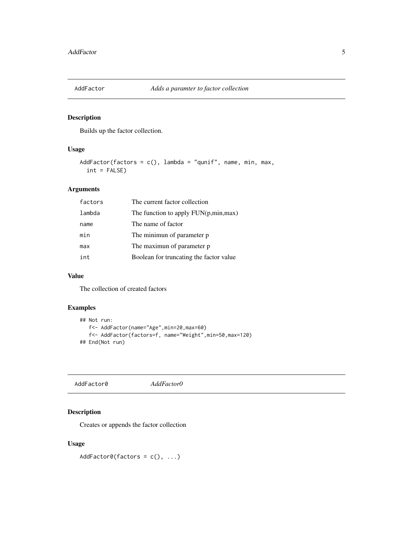<span id="page-4-0"></span>

### Description

Builds up the factor collection.

### Usage

```
AddFactor(factors = c(), lambda = "qunif", name, min, max,
  int = FALSE)
```
### Arguments

| factors | The current factor collection           |
|---------|-----------------------------------------|
| lambda  | The function to apply $FUN(p,min,max)$  |
| name    | The name of factor                      |
| min     | The minimun of parameter p              |
| max     | The maximun of parameter p              |
| int     | Boolean for truncating the factor value |
|         |                                         |

#### Value

The collection of created factors

#### Examples

```
## Not run:
  f<- AddFactor(name="Age",min=20,max=60)
   f<- AddFactor(factors=f, name="Weight",min=50,max=120)
## End(Not run)
```
AddFactor0 *AddFactor0*

### Description

Creates or appends the factor collection

### Usage

 $AddFactor@(factors = c(), ...)$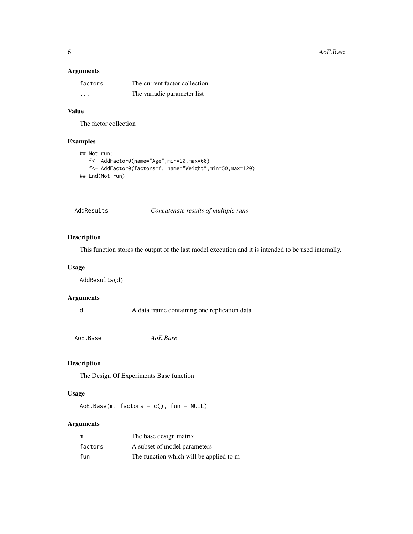#### <span id="page-5-0"></span>Arguments

| factors | The current factor collection |
|---------|-------------------------------|
| .       | The variadic parameter list   |

# Value

The factor collection

# Examples

```
## Not run:
   f<- AddFactor0(name="Age",min=20,max=60)
   f<- AddFactor0(factors=f, name="Weight",min=50,max=120)
## End(Not run)
```
AddResults *Concatenate results of multiple runs*

### Description

This function stores the output of the last model execution and it is intended to be used internally.

#### Usage

AddResults(d)

#### Arguments

d A data frame containing one replication data

AoE.Base *AoE.Base*

# Description

The Design Of Experiments Base function

#### Usage

 $AoE.Base(m, factors = c(), fun = NULL)$ 

### Arguments

| m       | The base design matrix                  |
|---------|-----------------------------------------|
| factors | A subset of model parameters            |
| fun     | The function which will be applied to m |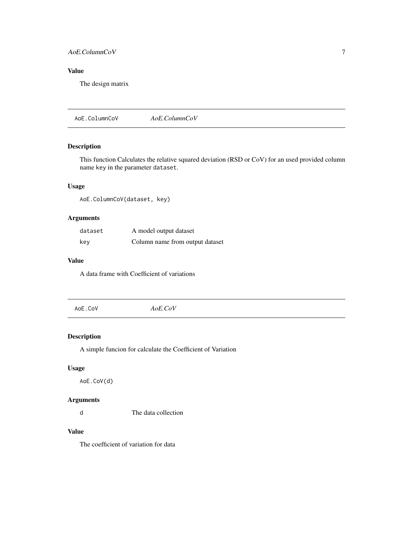# <span id="page-6-0"></span>AoE.ColumnCoV 7

# Value

The design matrix

AoE.ColumnCoV *AoE.ColumnCoV*

### Description

This function Calculates the relative squared deviation (RSD or CoV) for an used provided column name key in the parameter dataset.

# Usage

AoE.ColumnCoV(dataset, key)

### Arguments

| dataset | A model output dataset          |
|---------|---------------------------------|
| kev     | Column name from output dataset |

### Value

A data frame with Coefficient of variations

| AoE.CoV | $AoE$ . $CoV$ |  |
|---------|---------------|--|
|         |               |  |

#### Description

A simple funcion for calculate the Coefficient of Variation

### Usage

AoE.CoV(d)

### Arguments

d The data collection

# Value

The coefficient of variation for data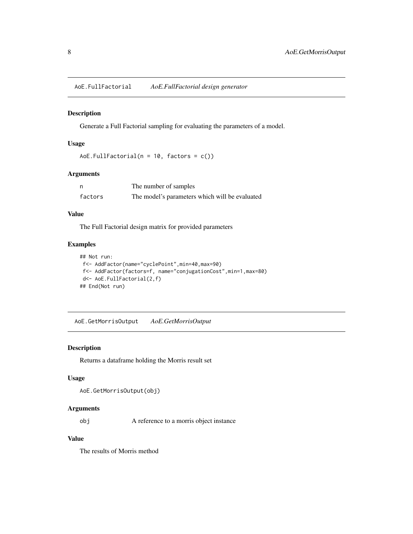<span id="page-7-0"></span>AoE.FullFactorial *AoE.FullFactorial design generator*

#### Description

Generate a Full Factorial sampling for evaluating the parameters of a model.

#### Usage

```
AoE.FullFactorial(n = 10, factors = c())
```
### Arguments

| n       | The number of samples                          |
|---------|------------------------------------------------|
| factors | The model's parameters which will be evaluated |

### Value

The Full Factorial design matrix for provided parameters

### Examples

```
## Not run:
f<- AddFactor(name="cyclePoint",min=40,max=90)
f<- AddFactor(factors=f, name="conjugationCost",min=1,max=80)
d<- AoE.FullFactorial(2,f)
## End(Not run)
```
AoE.GetMorrisOutput *AoE.GetMorrisOutput*

### **Description**

Returns a dataframe holding the Morris result set

#### Usage

```
AoE.GetMorrisOutput(obj)
```
#### Arguments

obj A reference to a morris object instance

# Value

The results of Morris method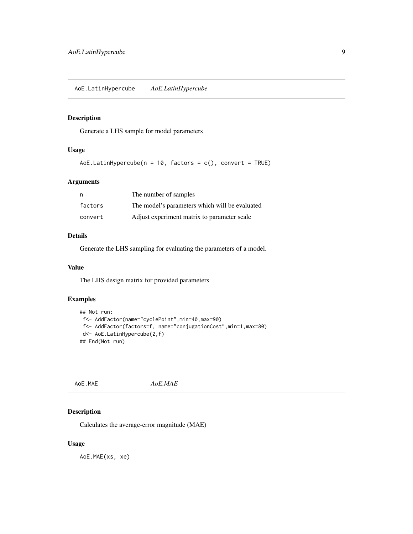<span id="page-8-0"></span>AoE.LatinHypercube *AoE.LatinHypercube*

### Description

Generate a LHS sample for model parameters

#### Usage

AoE.LatinHypercube( $n = 10$ , factors = c(), convert = TRUE)

#### Arguments

| n       | The number of samples                          |
|---------|------------------------------------------------|
| factors | The model's parameters which will be evaluated |
| convert | Adjust experiment matrix to parameter scale    |

#### Details

Generate the LHS sampling for evaluating the parameters of a model.

#### Value

The LHS design matrix for provided parameters

### Examples

```
## Not run:
f<- AddFactor(name="cyclePoint",min=40,max=90)
 f<- AddFactor(factors=f, name="conjugationCost",min=1,max=80)
d<- AoE.LatinHypercube(2,f)
## End(Not run)
```
AoE.MAE *AoE.MAE*

### Description

Calculates the average-error magnitude (MAE)

### Usage

AoE.MAE(xs, xe)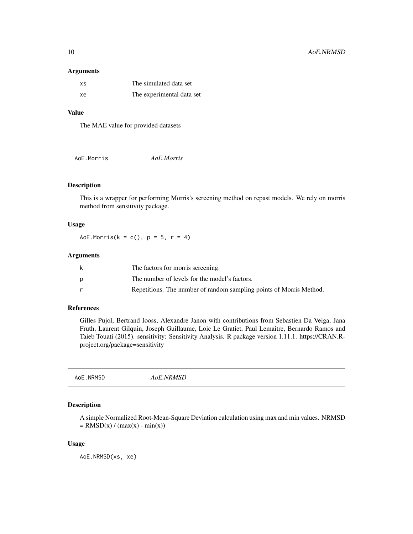#### <span id="page-9-0"></span>Arguments

| XS. | The simulated data set    |
|-----|---------------------------|
| xe  | The experimental data set |

#### Value

The MAE value for provided datasets

|--|

### Description

This is a wrapper for performing Morris's screening method on repast models. We rely on morris method from sensitivity package.

#### Usage

AoE.Morris( $k = c()$ ,  $p = 5$ ,  $r = 4$ )

### Arguments

| The factors for morris screening.                                   |
|---------------------------------------------------------------------|
| The number of levels for the model's factors.                       |
| Repetitions. The number of random sampling points of Morris Method. |

#### References

Gilles Pujol, Bertrand Iooss, Alexandre Janon with contributions from Sebastien Da Veiga, Jana Fruth, Laurent Gilquin, Joseph Guillaume, Loic Le Gratiet, Paul Lemaitre, Bernardo Ramos and Taieb Touati (2015). sensitivity: Sensitivity Analysis. R package version 1.11.1. https://CRAN.Rproject.org/package=sensitivity

|--|

# Description

A simple Normalized Root-Mean-Square Deviation calculation using max and min values. NRMSD  $=$  RMSD(x) / (max(x) - min(x))

#### Usage

AoE.NRMSD(xs, xe)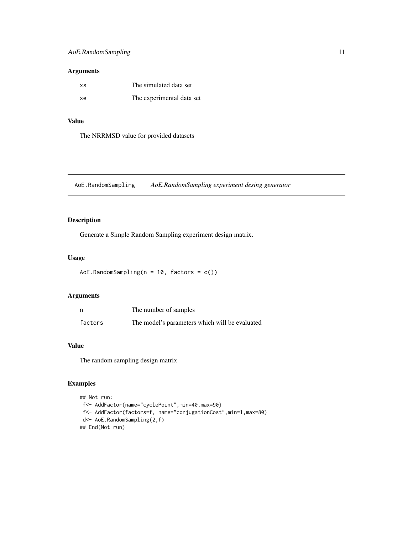### <span id="page-10-0"></span>Arguments

| хs | The simulated data set    |
|----|---------------------------|
| xe | The experimental data set |

### Value

The NRRMSD value for provided datasets

AoE.RandomSampling *AoE.RandomSampling experiment desing generator*

# Description

Generate a Simple Random Sampling experiment design matrix.

#### Usage

```
AoE.RandomSampling(n = 10, factors = c())
```
### Arguments

| n       | The number of samples                          |
|---------|------------------------------------------------|
| factors | The model's parameters which will be evaluated |

# Value

The random sampling design matrix

# Examples

```
## Not run:
f<- AddFactor(name="cyclePoint",min=40,max=90)
 f<- AddFactor(factors=f, name="conjugationCost",min=1,max=80)
 d<- AoE.RandomSampling(2,f)
## End(Not run)
```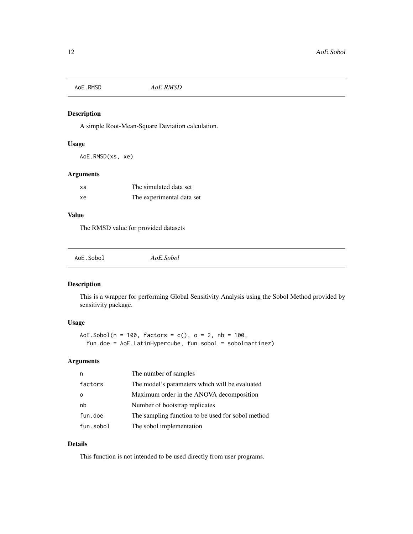<span id="page-11-0"></span>AoE.RMSD *AoE.RMSD*

#### Description

A simple Root-Mean-Square Deviation calculation.

### Usage

AoE.RMSD(xs, xe)

### Arguments

| XS | The simulated data set    |
|----|---------------------------|
| xe | The experimental data set |

### Value

The RMSD value for provided datasets

| AoE.Sobol<br>AoE.Sobol |  |  |  |  |  |  |  |  |  |  |  |  |  |
|------------------------|--|--|--|--|--|--|--|--|--|--|--|--|--|
|------------------------|--|--|--|--|--|--|--|--|--|--|--|--|--|

### Description

This is a wrapper for performing Global Sensitivity Analysis using the Sobol Method provided by sensitivity package.

### Usage

AoE.Sobol( $n = 100$ , factors = c(),  $o = 2$ ,  $nb = 100$ , fun.doe = AoE.LatinHypercube, fun.sobol = sobolmartinez)

#### Arguments

|           | The number of samples                             |
|-----------|---------------------------------------------------|
| factors   | The model's parameters which will be evaluated    |
|           | Maximum order in the ANOVA decomposition          |
| nb        | Number of bootstrap replicates                    |
| fun.doe   | The sampling function to be used for sobol method |
| fun.sobol | The sobol implementation                          |

### Details

This function is not intended to be used directly from user programs.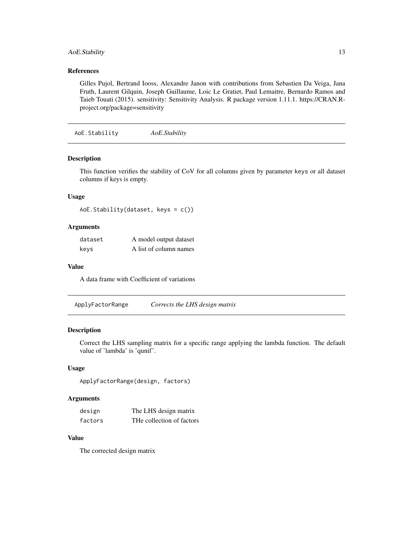### <span id="page-12-0"></span>AoE.Stability 13

### References

Gilles Pujol, Bertrand Iooss, Alexandre Janon with contributions from Sebastien Da Veiga, Jana Fruth, Laurent Gilquin, Joseph Guillaume, Loic Le Gratiet, Paul Lemaitre, Bernardo Ramos and Taieb Touati (2015). sensitivity: Sensitivity Analysis. R package version 1.11.1. https://CRAN.Rproject.org/package=sensitivity

AoE.Stability *AoE.Stability*

#### Description

This function verifies the stability of CoV for all columns given by parameter keys or all dataset columns if keys is empty.

#### Usage

```
AoE.Stability(dataset, keys = c())
```
#### Arguments

| dataset | A model output dataset |
|---------|------------------------|
| keys    | A list of column names |

#### Value

A data frame with Coefficient of variations

ApplyFactorRange *Corrects the LHS design matrix*

### Description

Correct the LHS sampling matrix for a specific range applying the lambda function. The default value of 'lambda' is 'qunif'.

#### Usage

```
ApplyFactorRange(design, factors)
```
#### Arguments

| design  | The LHS design matrix     |
|---------|---------------------------|
| factors | THe collection of factors |

# Value

The corrected design matrix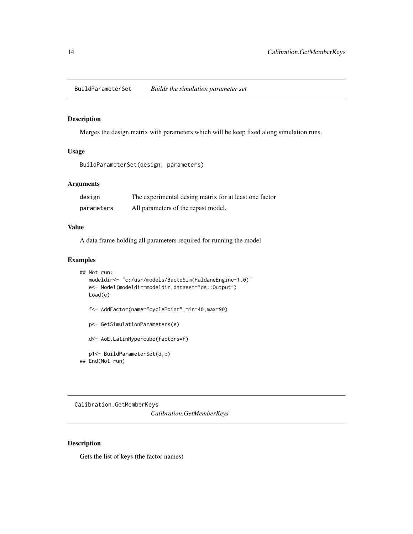<span id="page-13-0"></span>BuildParameterSet *Builds the simulation parameter set*

#### Description

Merges the design matrix with parameters which will be keep fixed along simulation runs.

### Usage

```
BuildParameterSet(design, parameters)
```
#### Arguments

| design     | The experimental desing matrix for at least one factor |
|------------|--------------------------------------------------------|
| parameters | All parameters of the repast model.                    |

#### Value

A data frame holding all parameters required for running the model

#### Examples

```
## Not run:
  modeldir<- "c:/usr/models/BactoSim(HaldaneEngine-1.0)"
  e<- Model(modeldir=modeldir,dataset="ds::Output")
  Load(e)
  f<- AddFactor(name="cyclePoint",min=40,max=90)
  p<- GetSimulationParameters(e)
  d<- AoE.LatinHypercube(factors=f)
  p1<- BuildParameterSet(d,p)
## End(Not run)
```
Calibration.GetMemberKeys *Calibration.GetMemberKeys*

### Description

Gets the list of keys (the factor names)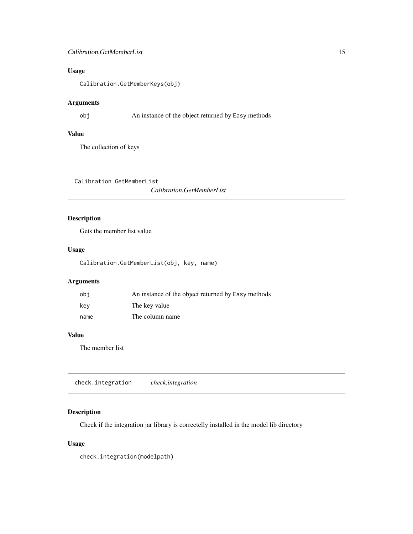#### <span id="page-14-0"></span>Calibration.GetMemberList 15

# Usage

Calibration.GetMemberKeys(obj)

# Arguments

obj An instance of the object returned by Easy methods

# Value

The collection of keys

Calibration.GetMemberList

*Calibration.GetMemberList*

# Description

Gets the member list value

#### Usage

Calibration.GetMemberList(obj, key, name)

# Arguments

| obi  | An instance of the object returned by Easy methods |
|------|----------------------------------------------------|
| kev  | The key value                                      |
| name | The column name                                    |

# Value

The member list

check.integration *check.integration*

# Description

Check if the integration jar library is correctelly installed in the model lib directory

### Usage

check.integration(modelpath)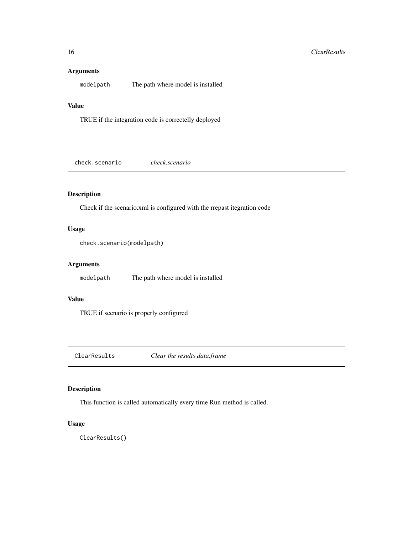#### <span id="page-15-0"></span>Arguments

modelpath The path where model is installed

### Value

TRUE if the integration code is correctelly deployed

check.scenario *check.scenario*

### Description

Check if the scenario.xml is configured with the rrepast itegration code

# Usage

```
check.scenario(modelpath)
```
#### Arguments

modelpath The path where model is installed

#### Value

TRUE if scenario is properly configured

ClearResults *Clear the results data.frame*

### Description

This function is called automatically every time Run method is called.

#### Usage

ClearResults()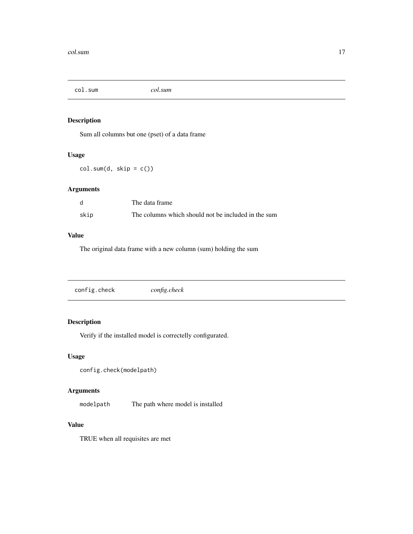<span id="page-16-0"></span>col.sum *col.sum*

# Description

Sum all columns but one (pset) of a data frame

### Usage

 $col.sum(d, skip = c())$ 

# Arguments

|      | The data frame                                      |
|------|-----------------------------------------------------|
| skip | The columns which should not be included in the sum |

# Value

The original data frame with a new column (sum) holding the sum

| config.check | config.check |  |
|--------------|--------------|--|
|              |              |  |

### Description

Verify if the installed model is correctelly configurated.

### Usage

```
config.check(modelpath)
```
# Arguments

modelpath The path where model is installed

#### Value

TRUE when all requisites are met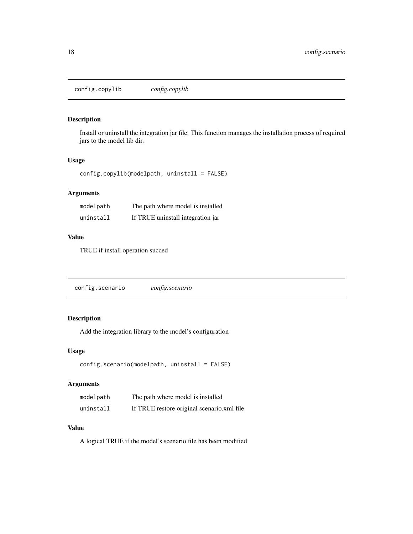<span id="page-17-0"></span>config.copylib *config.copylib*

### Description

Install or uninstall the integration jar file. This function manages the installation process of required jars to the model lib dir.

### Usage

config.copylib(modelpath, uninstall = FALSE)

# Arguments

| modelpath | The path where model is installed |
|-----------|-----------------------------------|
| uninstall | If TRUE uninstall integration jar |

# Value

TRUE if install operation succed

| config.scenario<br>config.scenario |  |
|------------------------------------|--|
|------------------------------------|--|

### Description

Add the integration library to the model's configuration

#### Usage

```
config.scenario(modelpath, uninstall = FALSE)
```
### Arguments

| modelpath | The path where model is installed          |
|-----------|--------------------------------------------|
| uninstall | If TRUE restore original scenario.xml file |

# Value

A logical TRUE if the model's scenario file has been modified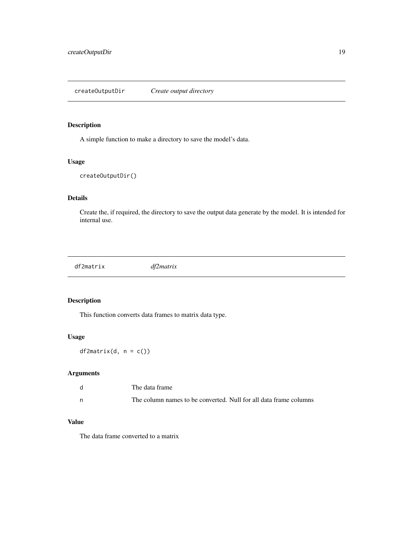### <span id="page-18-0"></span>Description

A simple function to make a directory to save the model's data.

#### Usage

```
createOutputDir()
```
### Details

Create the, if required, the directory to save the output data generate by the model. It is intended for internal use.

df2matrix *df2matrix*

### Description

This function converts data frames to matrix data type.

### Usage

 $df2matrix(d, n = c())$ 

#### Arguments

| The data frame                                                    |
|-------------------------------------------------------------------|
| The column names to be converted. Null for all data frame columns |

#### Value

The data frame converted to a matrix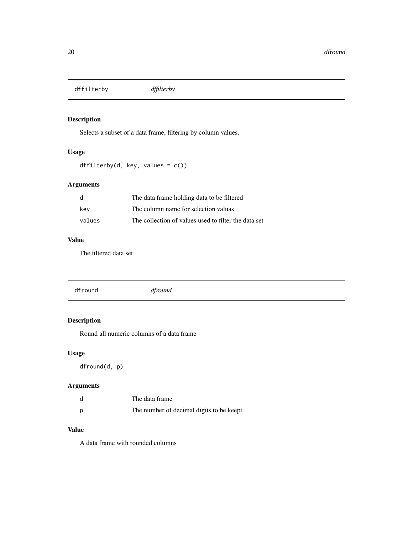<span id="page-19-0"></span>dffilterby *dffilterby*

# Description

Selects a subset of a data frame, filtering by column values.

# Usage

```
dffilterby(d, key, values = c())
```
### Arguments

| d      | The data frame holding data to be filtered           |
|--------|------------------------------------------------------|
| kev    | The column name for selection valuas                 |
| values | The collection of values used to filter the data set |

### Value

The filtered data set

# Description

Round all numeric columns of a data frame

# Usage

dfround(d, p)

# Arguments

| d | The data frame                           |
|---|------------------------------------------|
| D | The number of decimal digits to be keept |

### Value

A data frame with rounded columns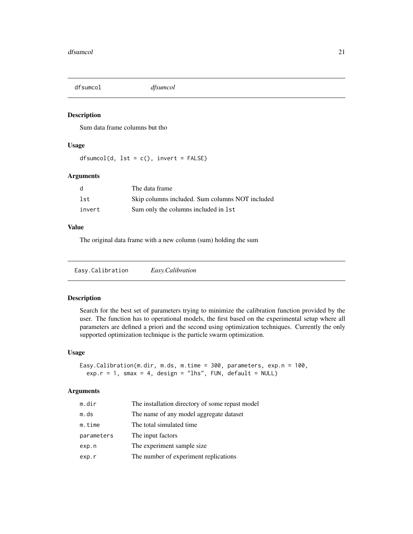<span id="page-20-0"></span>

#### Description

Sum data frame columns but tho

#### Usage

 $dfsumcol(d, 1st = c(), invert = FALSE)$ 

#### Arguments

| d      | The data frame                                  |
|--------|-------------------------------------------------|
| lst    | Skip columns included. Sum columns NOT included |
| invert | Sum only the columns included in 1st            |

#### Value

The original data frame with a new column (sum) holding the sum

Easy.Calibration *Easy.Calibration*

#### Description

Search for the best set of parameters trying to minimize the calibration function provided by the user. The function has to operational models, the first based on the experimental setup where all parameters are defined a priori and the second using optimization techniques. Currently the only supported optimization technique is the particle swarm optimization.

#### Usage

```
Easy.Calibration(m.dir, m.ds, m.time = 300, parameters, exp.n = 100,
 exp.r = 1, smax = 4, design = "lhs", FUN, default = NULL)
```
#### Arguments

| m.dir      | The installation directory of some repast model |
|------------|-------------------------------------------------|
| m.ds       | The name of any model aggregate dataset         |
| m.time     | The total simulated time.                       |
| parameters | The input factors                               |
| exp.n      | The experiment sample size                      |
| exp.r      | The number of experiment replications           |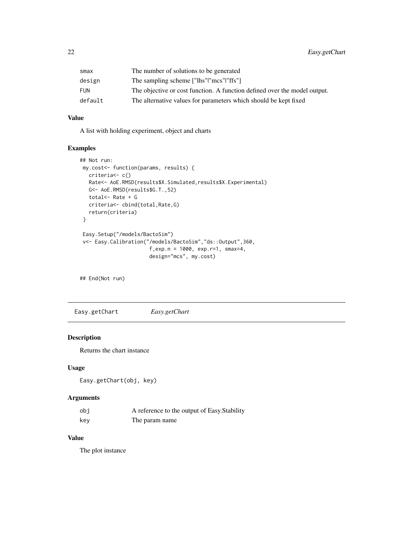<span id="page-21-0"></span>

| smax    | The number of solutions to be generated                                   |
|---------|---------------------------------------------------------------------------|
| design  | The sampling scheme ["lhs" "mcs" "ffs"]                                   |
| FUN     | The objective or cost function. A function defined over the model output. |
| default | The alternative values for parameters which should be kept fixed          |

#### Value

A list with holding experiment, object and charts

### Examples

```
## Not run:
my.cost<- function(params, results) {
  criteria<- c()
  Rate<- AoE.RMSD(results$X.Simulated,results$X.Experimental)
  G<- AoE.RMSD(results$G.T.,52)
  total<- Rate + G
  criteria<- cbind(total,Rate,G)
  return(criteria)
}
Easy.Setup("/models/BactoSim")
v<- Easy.Calibration("/models/BactoSim","ds::Output",360,
                       f,exp.n = 1000, exp.r=1, smax=4,
                       design="mcs", my.cost)
```
## End(Not run)

Easy.getChart *Easy.getChart*

# Description

Returns the chart instance

#### Usage

```
Easy.getChart(obj, key)
```
### Arguments

| obi | A reference to the output of Easy. Stability |
|-----|----------------------------------------------|
| key | The param name                               |

### Value

The plot instance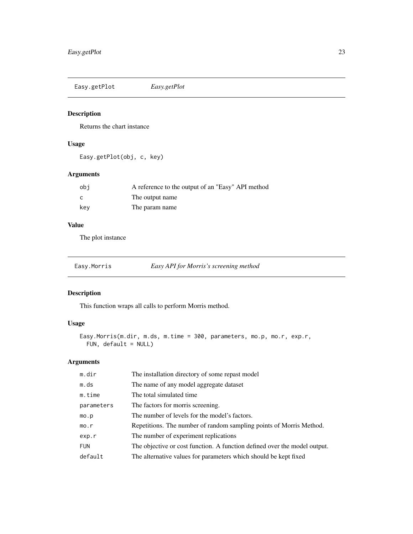<span id="page-22-0"></span>Easy.getPlot *Easy.getPlot*

### Description

Returns the chart instance

### Usage

Easy.getPlot(obj, c, key)

# Arguments

| obi | A reference to the output of an "Easy" API method |
|-----|---------------------------------------------------|
| C   | The output name                                   |
| kev | The param name                                    |

# Value

The plot instance

| Easy.Morris | Easy API for Morris's screening method |  |
|-------------|----------------------------------------|--|
|             |                                        |  |

# Description

This function wraps all calls to perform Morris method.

# Usage

```
Easy.Morris(m.dir, m.ds, m.time = 300, parameters, mo.p, mo.r, exp.r,
 FUN, default = NULL)
```
### Arguments

| m.dir      | The installation directory of some repast model                           |
|------------|---------------------------------------------------------------------------|
| m.ds       | The name of any model aggregate dataset                                   |
| m.time     | The total simulated time.                                                 |
| parameters | The factors for morris screening.                                         |
| mo.p       | The number of levels for the model's factors.                             |
| mo.r       | Repetitions. The number of random sampling points of Morris Method.       |
| exp.r      | The number of experiment replications                                     |
| <b>FUN</b> | The objective or cost function. A function defined over the model output. |
| default    | The alternative values for parameters which should be kept fixed          |
|            |                                                                           |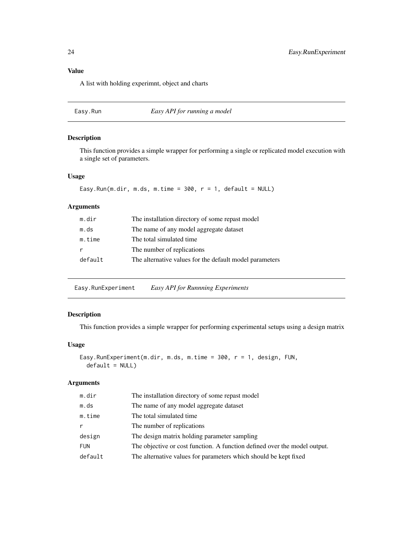# <span id="page-23-0"></span>Value

A list with holding experimnt, object and charts

# Easy.Run *Easy API for running a model*

#### Description

This function provides a simple wrapper for performing a single or replicated model execution with a single set of parameters.

#### Usage

Easy.Run(m.dir, m.ds, m.time =  $300$ , r = 1, default = NULL)

### Arguments

| m.dir   | The installation directory of some repast model         |
|---------|---------------------------------------------------------|
| m.ds    | The name of any model aggregate dataset                 |
| m.time  | The total simulated time.                               |
|         | The number of replications.                             |
| default | The alternative values for the default model parameters |
|         |                                                         |

Easy.RunExperiment *Easy API for Runnning Experiments*

### Description

This function provides a simple wrapper for performing experimental setups using a design matrix

# Usage

```
Easy.RunExperiment(m.dir, m.ds, m.time = 300, r = 1, design, FUN,
  default = NULL)
```
#### Arguments

| m.dir      | The installation directory of some repast model                           |
|------------|---------------------------------------------------------------------------|
| m.ds       | The name of any model aggregate dataset                                   |
| m.time     | The total simulated time.                                                 |
| r          | The number of replications.                                               |
| design     | The design matrix holding parameter sampling                              |
| <b>FUN</b> | The objective or cost function. A function defined over the model output. |
| default    | The alternative values for parameters which should be kept fixed          |
|            |                                                                           |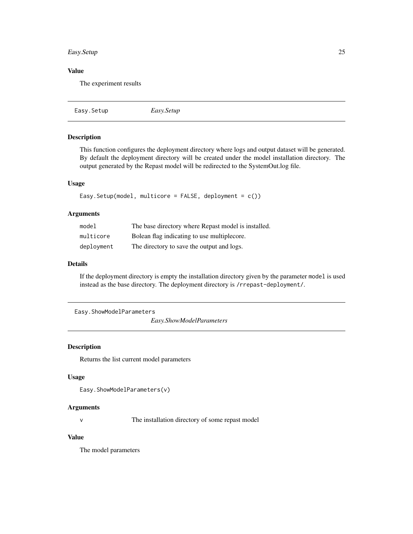### <span id="page-24-0"></span>Easy.Setup 25

# Value

The experiment results

```
Easy.Setup Easy.Setup
```
# Description

This function configures the deployment directory where logs and output dataset will be generated. By default the deployment directory will be created under the model installation directory. The output generated by the Repast model will be redirected to the SystemOut.log file.

#### Usage

```
Easy.Setup(model, multicore = FALSE, deployment = c())
```
#### Arguments

| model      | The base directory where Repast model is installed. |
|------------|-----------------------------------------------------|
| multicore  | Bolean flag indicating to use multiplecore.         |
| deployment | The directory to save the output and logs.          |

#### Details

If the deployment directory is empty the installation directory given by the parameter model is used instead as the base directory. The deployment directory is /rrepast-deployment/.

Easy.ShowModelParameters

*Easy.ShowModelParameters*

#### Description

Returns the list current model parameters

#### Usage

```
Easy.ShowModelParameters(v)
```
#### Arguments

v The installation directory of some repast model

#### Value

The model parameters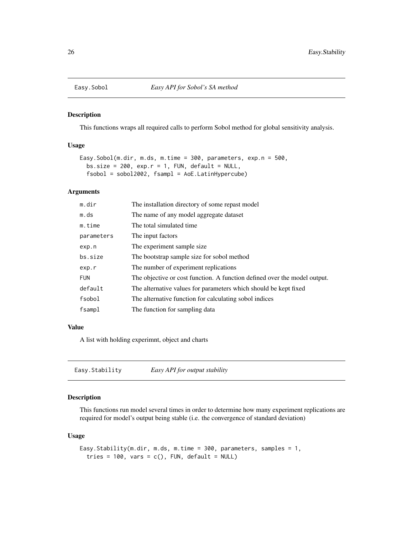<span id="page-25-0"></span>

### Description

This functions wraps all required calls to perform Sobol method for global sensitivity analysis.

#### Usage

```
Easy.Sobol(m.dir, m.ds, m.time = 300, parameters, exp.n = 500,
 bs.size = 200, exp.r = 1, FUN, default = NULL,
  fsobol = sobol2002, fsampl = AoE.LatinHypercube)
```
### Arguments

| m.dir      | The installation directory of some repast model                           |
|------------|---------------------------------------------------------------------------|
| m.ds       | The name of any model aggregate dataset                                   |
| m.time     | The total simulated time.                                                 |
| parameters | The input factors                                                         |
| exp.n      | The experiment sample size.                                               |
| bs.size    | The bootstrap sample size for sobol method                                |
| exp.r      | The number of experiment replications                                     |
| <b>FUN</b> | The objective or cost function. A function defined over the model output. |
| default    | The alternative values for parameters which should be kept fixed          |
| fsobol     | The alternative function for calculating sobol indices                    |
| fsampl     | The function for sampling data                                            |

#### Value

A list with holding experimnt, object and charts

# Description

This functions run model several times in order to determine how many experiment replications are required for model's output being stable (i.e. the convergence of standard deviation)

#### Usage

```
Easy.Stability(m.dir, m.ds, m.time = 300, parameters, samples = 1,
  tries = 100, vars = c(), FUN, default = NULL)
```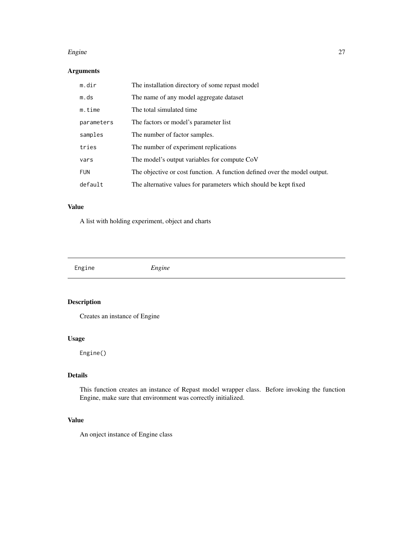#### <span id="page-26-0"></span>Engine 27

### Arguments

| m.dir      | The installation directory of some repast model                           |
|------------|---------------------------------------------------------------------------|
| m.ds       | The name of any model aggregate dataset                                   |
| m.time     | The total simulated time.                                                 |
| parameters | The factors or model's parameter list                                     |
| samples    | The number of factor samples.                                             |
| tries      | The number of experiment replications                                     |
| vars       | The model's output variables for compute CoV                              |
| <b>FUN</b> | The objective or cost function. A function defined over the model output. |
| default    | The alternative values for parameters which should be kept fixed          |

### Value

A list with holding experiment, object and charts

| Engine | $- \cdot \cdot$ |
|--------|-----------------|
|        |                 |

# Description

Creates an instance of Engine

### Usage

Engine()

# Details

This function creates an instance of Repast model wrapper class. Before invoking the function Engine, make sure that environment was correctly initialized.

#### Value

An onject instance of Engine class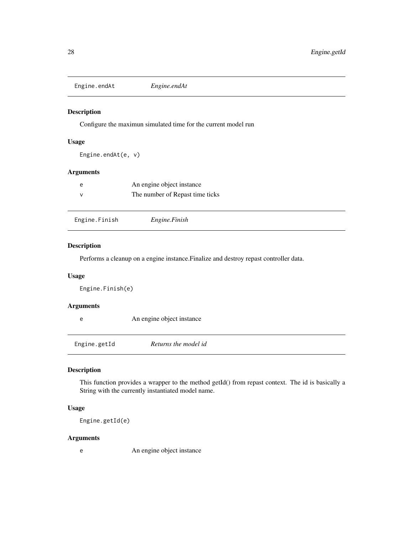<span id="page-27-0"></span>Engine.endAt *Engine.endAt*

#### Description

Configure the maximun simulated time for the current model run

### Usage

```
Engine.endAt(e, v)
```
#### Arguments

| e | An engine object instance       |
|---|---------------------------------|
|   | The number of Repast time ticks |

| Engine.Finish | Engine.Finish |  |
|---------------|---------------|--|
|---------------|---------------|--|

#### Description

Performs a cleanup on a engine instance.Finalize and destroy repast controller data.

#### Usage

Engine.Finish(e)

### Arguments

e An engine object instance

Engine.getId *Returns the model id*

#### Description

This function provides a wrapper to the method getId() from repast context. The id is basically a String with the currently instantiated model name.

### Usage

Engine.getId(e)

#### Arguments

e An engine object instance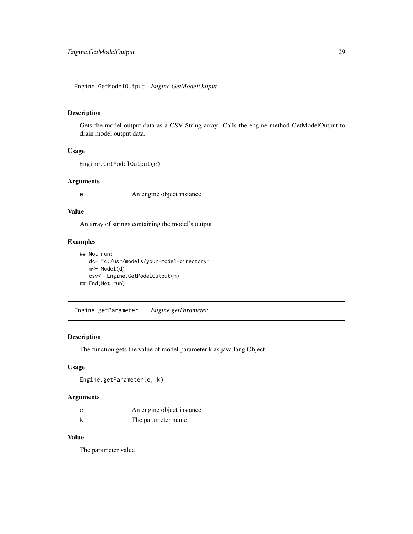<span id="page-28-0"></span>Engine.GetModelOutput *Engine.GetModelOutput*

#### Description

Gets the model output data as a CSV String array. Calls the engine method GetModelOutput to drain model output data.

#### Usage

```
Engine.GetModelOutput(e)
```
#### Arguments

e An engine object instance

#### Value

An array of strings containing the model's output

#### Examples

```
## Not run:
  d<- "c:/usr/models/your-model-directory"
  m<- Model(d)
  csv<- Engine.GetModelOutput(m)
## End(Not run)
```
Engine.getParameter *Engine.getParameter*

#### Description

The function gets the value of model parameter k as java.lang.Object

### Usage

```
Engine.getParameter(e, k)
```
# Arguments

| e | An engine object instance |
|---|---------------------------|
|   | The parameter name        |

### Value

The parameter value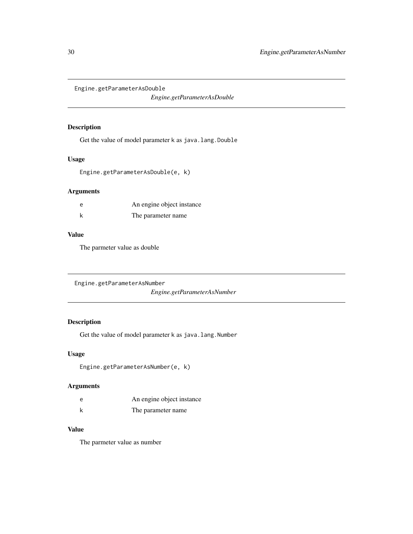<span id="page-29-0"></span>Engine.getParameterAsDouble

*Engine.getParameterAsDouble*

#### Description

Get the value of model parameter k as java.lang.Double

### Usage

Engine.getParameterAsDouble(e, k)

#### Arguments

| An engine object instance |
|---------------------------|
| The parameter name.       |

### Value

The parmeter value as double

Engine.getParameterAsNumber

*Engine.getParameterAsNumber*

### Description

Get the value of model parameter k as java.lang.Number

### Usage

Engine.getParameterAsNumber(e, k)

#### Arguments

| e | An engine object instance |
|---|---------------------------|
|   | The parameter name.       |

#### Value

The parmeter value as number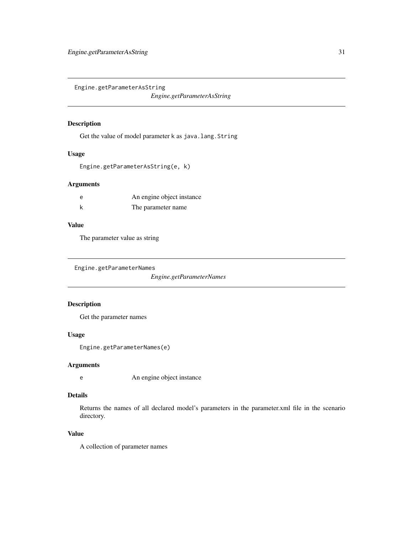<span id="page-30-0"></span>Engine.getParameterAsString

*Engine.getParameterAsString*

#### Description

Get the value of model parameter k as java.lang.String

#### Usage

```
Engine.getParameterAsString(e, k)
```
### Arguments

| An engine object instance |
|---------------------------|
| The parameter name        |

### Value

The parameter value as string

Engine.getParameterNames

*Engine.getParameterNames*

# Description

Get the parameter names

#### Usage

Engine.getParameterNames(e)

#### Arguments

e An engine object instance

# Details

Returns the names of all declared model's parameters in the parameter.xml file in the scenario directory.

# Value

A collection of parameter names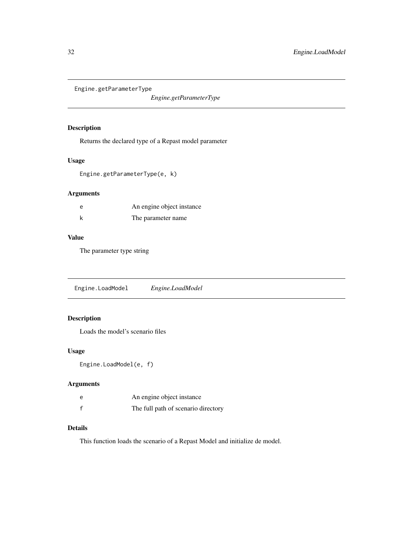<span id="page-31-0"></span>Engine.getParameterType

*Engine.getParameterType*

### Description

Returns the declared type of a Repast model parameter

#### Usage

Engine.getParameterType(e, k)

### Arguments

| e | An engine object instance |
|---|---------------------------|
|   | The parameter name        |

# Value

The parameter type string

Engine.LoadModel *Engine.LoadModel*

### Description

Loads the model's scenario files

### Usage

```
Engine.LoadModel(e, f)
```
### Arguments

| e | An engine object instance           |
|---|-------------------------------------|
|   | The full path of scenario directory |

# Details

This function loads the scenario of a Repast Model and initialize de model.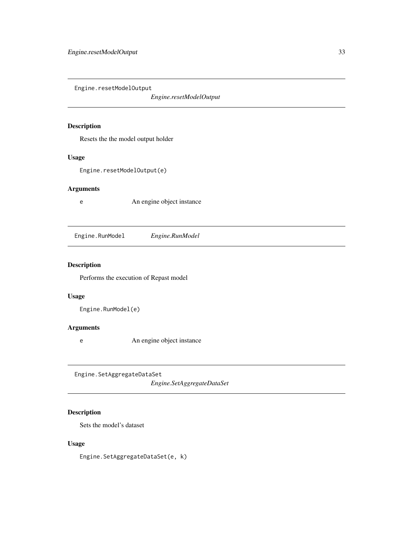<span id="page-32-0"></span>Engine.resetModelOutput

*Engine.resetModelOutput*

#### Description

Resets the the model output holder

#### Usage

Engine.resetModelOutput(e)

### Arguments

e An engine object instance

Engine.RunModel *Engine.RunModel*

### Description

Performs the execution of Repast model

### Usage

Engine.RunModel(e)

### Arguments

e An engine object instance

Engine.SetAggregateDataSet

*Engine.SetAggregateDataSet*

# Description

Sets the model's dataset

### Usage

Engine.SetAggregateDataSet(e, k)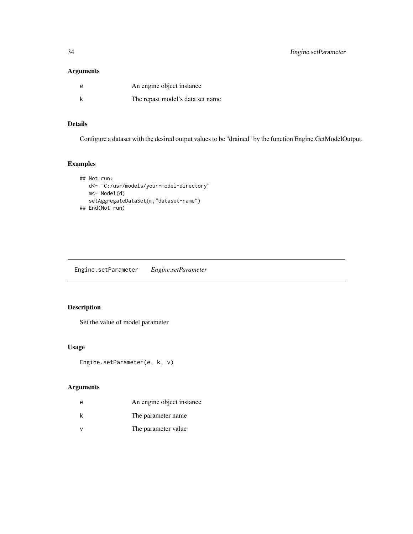# <span id="page-33-0"></span>Arguments

| e | An engine object instance        |
|---|----------------------------------|
|   | The repast model's data set name |

# Details

Configure a dataset with the desired output values to be "drained" by the function Engine.GetModelOutput.

# Examples

```
## Not run:
  d<- "C:/usr/models/your-model-directory"
  m<- Model(d)
  setAggregateDataSet(m,"dataset-name")
## End(Not run)
```
Engine.setParameter *Engine.setParameter*

### Description

Set the value of model parameter

### Usage

```
Engine.setParameter(e, k, v)
```
# Arguments

| e | An engine object instance |
|---|---------------------------|
| k | The parameter name.       |
|   | The parameter value       |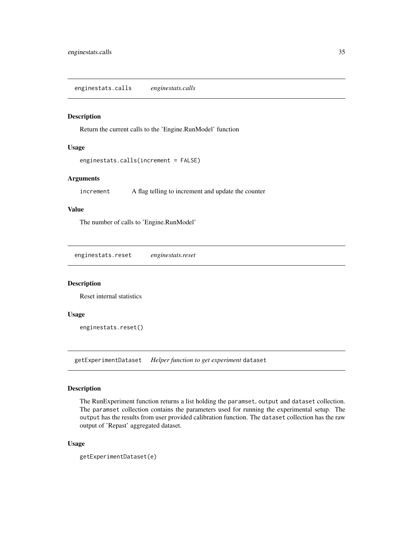#### <span id="page-34-0"></span>Description

Return the current calls to the 'Engine.RunModel' function

#### Usage

```
enginestats.calls(increment = FALSE)
```
#### Arguments

increment A flag telling to increment and update the counter

#### Value

The number of calls to 'Engine.RunModel'

enginestats.reset *enginestats.reset*

#### Description

Reset internal statistics

#### Usage

enginestats.reset()

getExperimentDataset *Helper function to get experiment* dataset

#### Description

The RunExperiment function returns a list holding the paramset, output and dataset collection. The paramset collection contains the parameters used for running the experimental setup. The output has the results from user provided calibration function. The dataset collection has the raw output of 'Repast' aggregated dataset.

#### Usage

```
getExperimentDataset(e)
```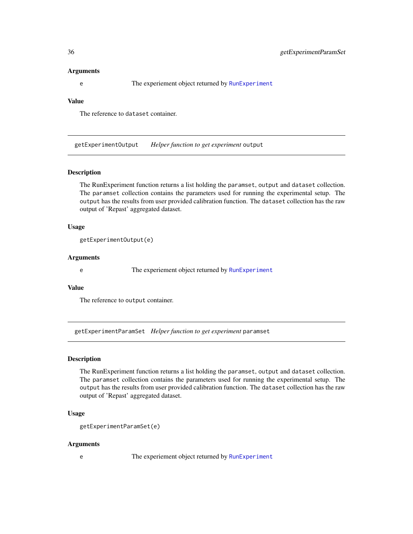#### <span id="page-35-0"></span>Arguments

e The experiement object returned by [RunExperiment](#page-61-1)

#### Value

The reference to dataset container.

getExperimentOutput *Helper function to get experiment* output

#### Description

The RunExperiment function returns a list holding the paramset, output and dataset collection. The paramset collection contains the parameters used for running the experimental setup. The output has the results from user provided calibration function. The dataset collection has the raw output of 'Repast' aggregated dataset.

#### Usage

```
getExperimentOutput(e)
```
#### Arguments

e The experiement object returned by [RunExperiment](#page-61-1)

#### Value

The reference to output container.

getExperimentParamSet *Helper function to get experiment* paramset

#### **Description**

The RunExperiment function returns a list holding the paramset, output and dataset collection. The paramset collection contains the parameters used for running the experimental setup. The output has the results from user provided calibration function. The dataset collection has the raw output of 'Repast' aggregated dataset.

#### Usage

```
getExperimentParamSet(e)
```
#### Arguments

e The experiement object returned by [RunExperiment](#page-61-1)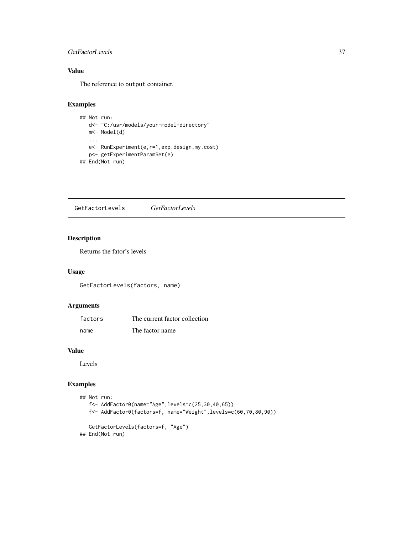# <span id="page-36-0"></span>GetFactorLevels 37

# Value

The reference to output container.

# Examples

```
## Not run:
  d<- "C:/usr/models/your-model-directory"
  m<- Model(d)
  ...
  e<- RunExperiment(e,r=1,exp.design,my.cost)
  p<- getExperimentParamSet(e)
## End(Not run)
```
GetFactorLevels *GetFactorLevels*

# Description

Returns the fator's levels

#### Usage

GetFactorLevels(factors, name)

# Arguments

| factors | The current factor collection |
|---------|-------------------------------|
| name    | The factor name               |

#### Value

Levels

```
## Not run:
  f<- AddFactor0(name="Age",levels=c(25,30,40,65))
  f<- AddFactor0(factors=f, name="Weight",levels=c(60,70,80,90))
  GetFactorLevels(factors=f, "Age")
## End(Not run)
```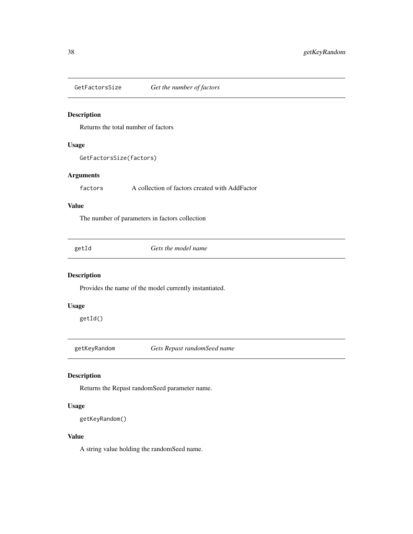<span id="page-37-0"></span>GetFactorsSize *Get the number of factors*

# Description

Returns the total number of factors

#### Usage

GetFactorsSize(factors)

#### Arguments

factors A collection of factors created with AddFactor

# Value

The number of parameters in factors collection

| . .<br>×<br>×<br>۰, |
|---------------------|
|---------------------|

Gets the model name

# Description

Provides the name of the model currently instantiated.

# Usage

getId()

getKeyRandom *Gets Repast randomSeed name*

#### Description

Returns the Repast randomSeed parameter name.

# Usage

```
getKeyRandom()
```
#### Value

A string value holding the randomSeed name.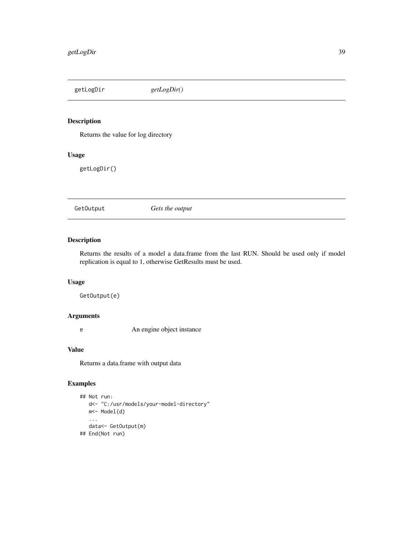<span id="page-38-0"></span>getLogDir *getLogDir()*

# Description

Returns the value for log directory

# Usage

getLogDir()

GetOutput *Gets the output*

# Description

Returns the results of a model a data.frame from the last RUN. Should be used only if model replication is equal to 1, otherwise GetResults must be used.

#### Usage

GetOutput(e)

#### Arguments

e An engine object instance

# Value

Returns a data.frame with output data

```
## Not run:
  d<- "C:/usr/models/your-model-directory"
  m<- Model(d)
   ...
  data<- GetOutput(m)
## End(Not run)
```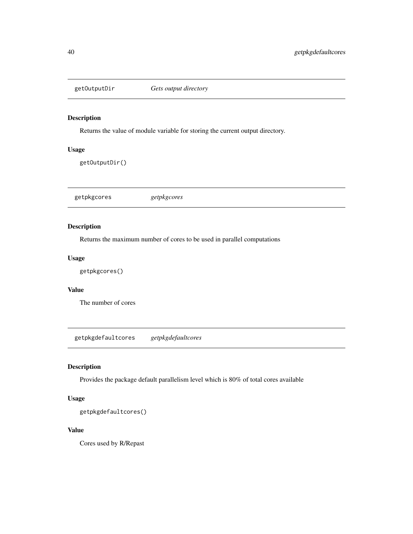<span id="page-39-0"></span>

# Description

Returns the value of module variable for storing the current output directory.

#### Usage

getOutputDir()

getpkgcores *getpkgcores*

#### Description

Returns the maximum number of cores to be used in parallel computations

# Usage

getpkgcores()

# Value

The number of cores

getpkgdefaultcores *getpkgdefaultcores*

# Description

Provides the package default parallelism level which is 80% of total cores available

# Usage

getpkgdefaultcores()

# Value

Cores used by R/Repast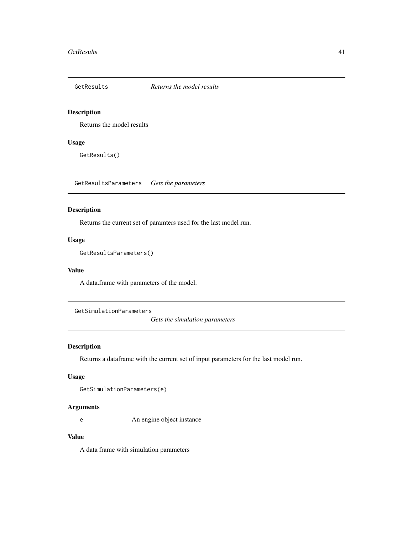<span id="page-40-1"></span><span id="page-40-0"></span>

#### Description

Returns the model results

# Usage

GetResults()

GetResultsParameters *Gets the parameters*

#### Description

Returns the current set of paramters used for the last model run.

#### Usage

```
GetResultsParameters()
```
#### Value

A data.frame with parameters of the model.

GetSimulationParameters

*Gets the simulation parameters*

# Description

Returns a dataframe with the current set of input parameters for the last model run.

#### Usage

GetSimulationParameters(e)

#### Arguments

e An engine object instance

# Value

A data frame with simulation parameters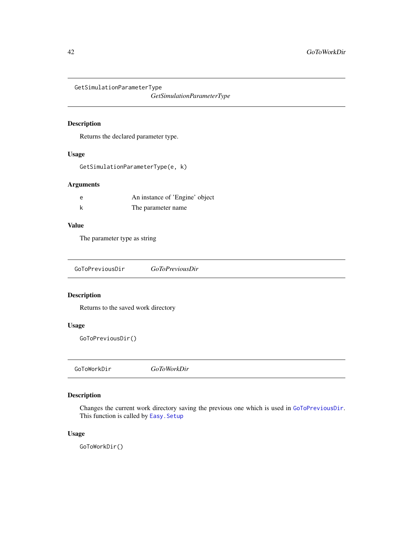<span id="page-41-1"></span>GetSimulationParameterType

*GetSimulationParameterType*

# Description

Returns the declared parameter type.

#### Usage

GetSimulationParameterType(e, k)

# Arguments

| An instance of 'Engine' object |
|--------------------------------|
| The parameter name             |

# Value

The parameter type as string

<span id="page-41-0"></span>

| GoToPreviousDir | <i>GoToPreviousDir</i> |  |
|-----------------|------------------------|--|
|-----------------|------------------------|--|

# Description

Returns to the saved work directory

#### Usage

GoToPreviousDir()

GoToWorkDir *GoToWorkDir*

# Description

Changes the current work directory saving the previous one which is used in [GoToPreviousDir](#page-41-0). This function is called by [Easy.Setup](#page-24-0)

# Usage

GoToWorkDir()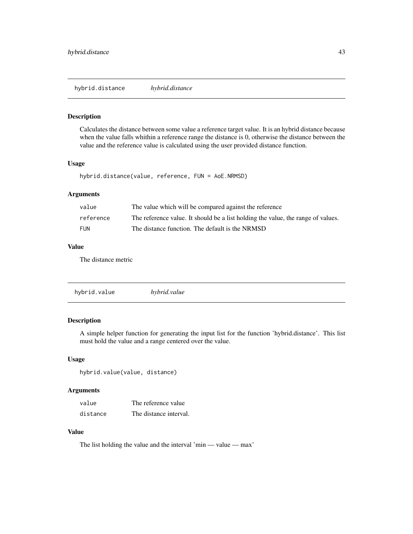<span id="page-42-0"></span>hybrid.distance *hybrid.distance*

#### Description

Calculates the distance between some value a reference target value. It is an hybrid distance because when the value falls whithin a reference range the distance is 0, otherwise the distance between the value and the reference value is calculated using the user provided distance function.

#### Usage

hybrid.distance(value, reference, FUN = AoE.NRMSD)

# Arguments

| value      | The value which will be compared against the reference                           |
|------------|----------------------------------------------------------------------------------|
| reference  | The reference value. It should be a list holding the value, the range of values. |
| <b>FUN</b> | The distance function. The default is the NRMSD                                  |

# Value

The distance metric

# Description

A simple helper function for generating the input list for the function 'hybrid.distance'. This list must hold the value and a range centered over the value.

#### Usage

```
hybrid.value(value, distance)
```
# Arguments

| value    | The reference value    |
|----------|------------------------|
| distance | The distance interval. |

# Value

The list holding the value and the interval 'min — value — max'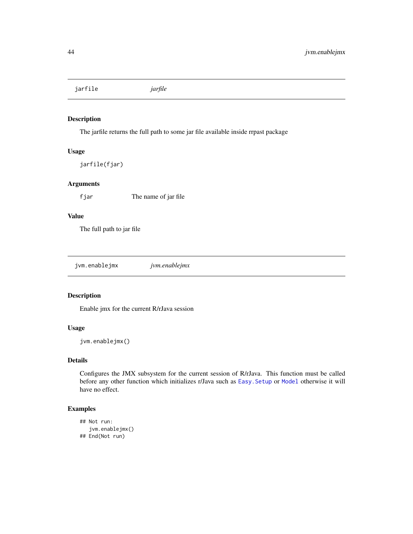<span id="page-43-0"></span>jarfile *jarfile*

#### Description

The jarfile returns the full path to some jar file available inside rrpast package

# Usage

jarfile(fjar)

# Arguments

fjar The name of jar file

# Value

The full path to jar file

jvm.enablejmx *jvm.enablejmx*

# Description

Enable jmx for the current R/rJava session

# Usage

jvm.enablejmx()

# Details

Configures the JMX subsystem for the current session of R/rJava. This function must be called before any other function which initializes r/Java such as [Easy.Setup](#page-24-0) or [Model](#page-49-0) otherwise it will have no effect.

```
## Not run:
  jvm.enablejmx()
## End(Not run)
```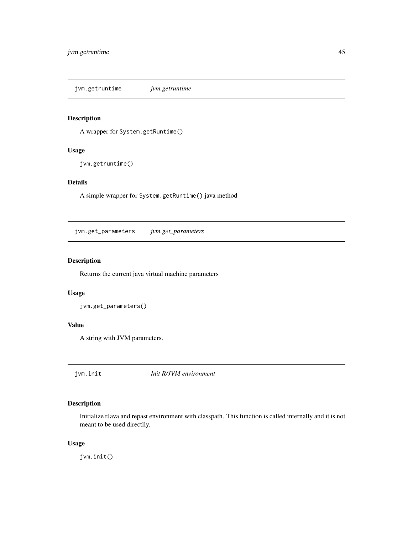<span id="page-44-0"></span>jvm.getruntime *jvm.getruntime*

# Description

A wrapper for System.getRuntime()

#### Usage

jvm.getruntime()

# Details

A simple wrapper for System.getRuntime() java method

jvm.get\_parameters *jvm.get\_parameters*

# Description

Returns the current java virtual machine parameters

#### Usage

jvm.get\_parameters()

#### Value

A string with JVM parameters.

jvm.init *Init R/JVM environment*

# Description

Initialize rJava and repast environment with classpath. This function is called internally and it is not meant to be used directlly.

#### Usage

jvm.init()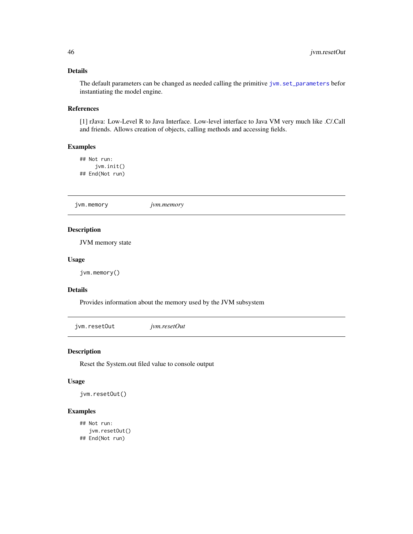# <span id="page-45-0"></span>Details

The default parameters can be changed as needed calling the primitive jvm. set\_parameters befor instantiating the model engine.

#### References

[1] rJava: Low-Level R to Java Interface. Low-level interface to Java VM very much like .C/.Call and friends. Allows creation of objects, calling methods and accessing fields.

#### Examples

## Not run: jvm.init() ## End(Not run)

jvm.memory *jvm.memory*

# Description

JVM memory state

#### Usage

jvm.memory()

# Details

Provides information about the memory used by the JVM subsystem

jvm.resetOut *jvm.resetOut*

#### Description

Reset the System.out filed value to console output

#### Usage

jvm.resetOut()

```
## Not run:
   jvm.resetOut()
## End(Not run)
```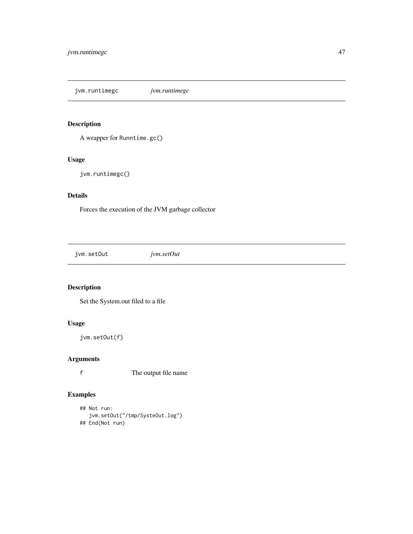<span id="page-46-0"></span>jvm.runtimegc *jvm.runtimegc*

# Description

A wrapper for Runntime.gc()

# Usage

jvm.runtimegc()

# Details

Forces the execution of the JVM garbage collector

jvm.setOut *jvm.setOut*

# Description

Set the System.out filed to a file

# Usage

jvm.setOut(f)

# Arguments

f The output file name

```
## Not run:
   jvm.setOut("/tmp/SysteOut.log")
## End(Not run)
```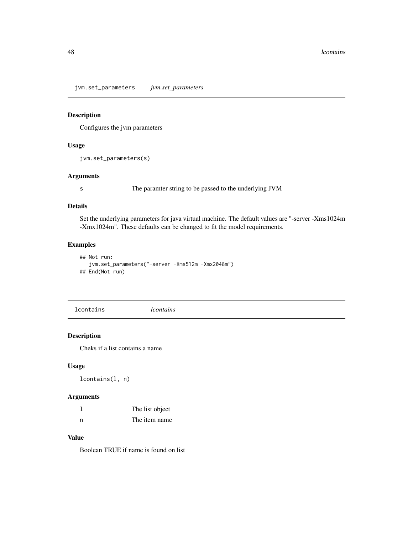<span id="page-47-1"></span><span id="page-47-0"></span>jvm.set\_parameters *jvm.set\_parameters*

#### Description

Configures the jvm parameters

#### Usage

jvm.set\_parameters(s)

#### Arguments

s The paramter string to be passed to the underlying JVM

#### Details

Set the underlying parameters for java virtual machine. The default values are "-server -Xms1024m -Xmx1024m". These defaults can be changed to fit the model requirements.

# Examples

```
## Not run:
   jvm.set_parameters("-server -Xms512m -Xmx2048m")
## End(Not run)
```
lcontains *lcontains*

#### Description

Cheks if a list contains a name

#### Usage

lcontains(l, n)

# Arguments

|   | The list object |
|---|-----------------|
| n | The item name   |

# Value

Boolean TRUE if name is found on list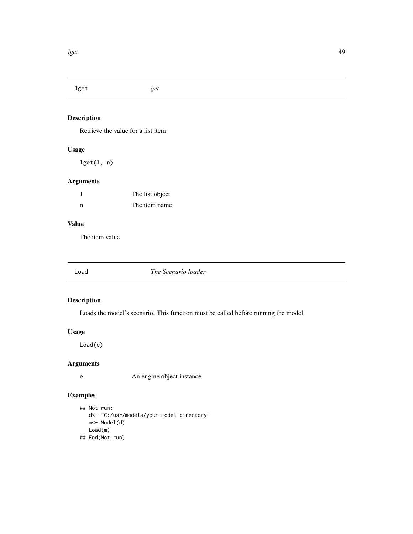<span id="page-48-1"></span>lget *get*

# Description

Retrieve the value for a list item

# Usage

lget(l, n)

# Arguments

|     | The list object |
|-----|-----------------|
| - n | The item name   |

#### Value

The item value

<span id="page-48-0"></span>Load *The Scenario loader*

# Description

Loads the model's scenario. This function must be called before running the model.

# Usage

Load(e)

# Arguments

e An engine object instance

```
## Not run:
  d<- "C:/usr/models/your-model-directory"
  m<- Model(d)
  Load(m)
## End(Not run)
```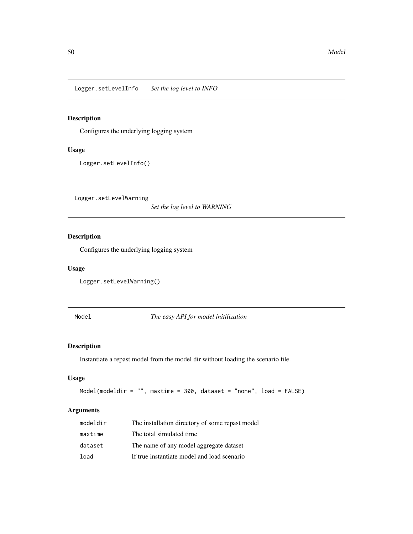<span id="page-49-1"></span>Logger.setLevelInfo *Set the log level to INFO*

# Description

Configures the underlying logging system

#### Usage

Logger.setLevelInfo()

Logger.setLevelWarning

*Set the log level to WARNING*

# Description

Configures the underlying logging system

#### Usage

Logger.setLevelWarning()

<span id="page-49-0"></span>Model *The easy API for model initilization*

# Description

Instantiate a repast model from the model dir without loading the scenario file.

# Usage

Model(modeldir = "", maxtime = 300, dataset = "none", load = FALSE)

# Arguments

| modeldir | The installation directory of some repast model |
|----------|-------------------------------------------------|
| maxtime  | The total simulated time.                       |
| dataset  | The name of any model aggregate dataset         |
| load     | If true instantiate model and load scenario     |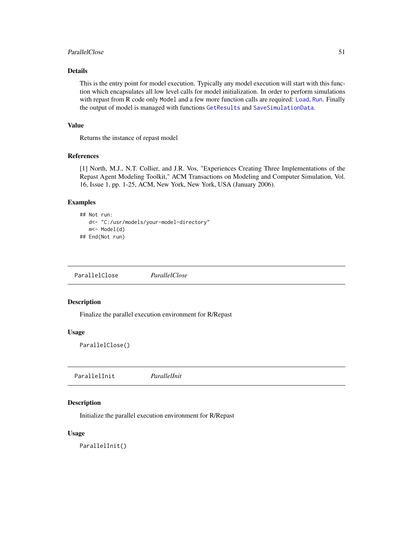#### <span id="page-50-0"></span>ParallelClose 51

#### Details

This is the entry point for model execution. Typically any model execution will start with this function which encapsulates all low level calls for model initialization. In order to perform simulations with repast from R code only Model and a few more function calls are required: [Load](#page-48-0), [Run](#page-60-0). Finally the output of model is managed with functions [GetResults](#page-40-0) and [SaveSimulationData](#page-62-0).

#### Value

Returns the instance of repast model

#### References

[1] North, M.J., N.T. Collier, and J.R. Vos, "Experiences Creating Three Implementations of the Repast Agent Modeling Toolkit," ACM Transactions on Modeling and Computer Simulation, Vol. 16, Issue 1, pp. 1-25, ACM, New York, New York, USA (January 2006).

#### Examples

```
## Not run:
  d<- "C:/usr/models/your-model-directory"
  m<- Model(d)
## End(Not run)
```
ParallelClose *ParallelClose*

#### Description

Finalize the parallel execution environment for R/Repast

#### Usage

ParallelClose()

ParallelInit *ParallelInit*

# Description

Initialize the parallel execution environment for R/Repast

# Usage

ParallelInit()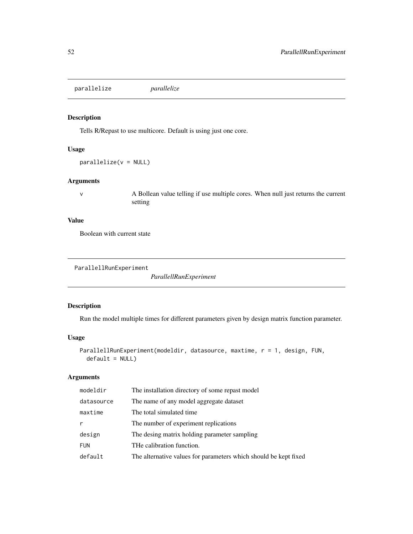<span id="page-51-0"></span>parallelize *parallelize*

# Description

Tells R/Repast to use multicore. Default is using just one core.

#### Usage

parallelize(v = NULL)

#### Arguments

v A Bollean value telling if use multiple cores. When null just returns the current setting

#### Value

Boolean with current state

```
ParallellRunExperiment
```
*ParallellRunExperiment*

# Description

Run the model multiple times for different parameters given by design matrix function parameter.

# Usage

```
ParallellRunExperiment(modeldir, datasource, maxtime, r = 1, design, FUN,
  default = NULL)
```
# Arguments

| modeldir   | The installation directory of some repast model                  |
|------------|------------------------------------------------------------------|
| datasource | The name of any model aggregate dataset                          |
| maxtime    | The total simulated time.                                        |
| r          | The number of experiment replications                            |
| design     | The desing matrix holding parameter sampling                     |
| <b>FUN</b> | THe calibration function.                                        |
| default    | The alternative values for parameters which should be kept fixed |
|            |                                                                  |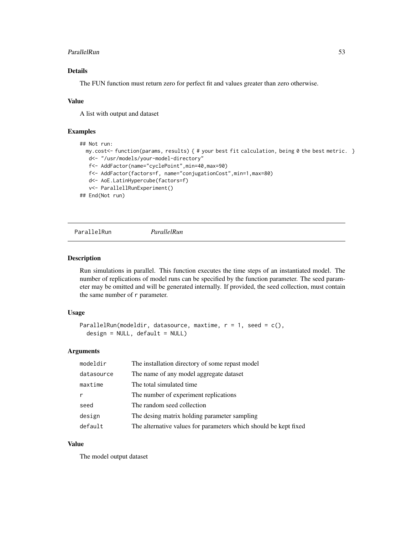#### <span id="page-52-0"></span>ParallelRun 53

# Details

The FUN function must return zero for perfect fit and values greater than zero otherwise.

#### Value

A list with output and dataset

#### Examples

```
## Not run:
 my.cost<- function(params, results) { # your best fit calculation, being 0 the best metric. }
  d<- "/usr/models/your-model-directory"
  f<- AddFactor(name="cyclePoint",min=40,max=90)
  f<- AddFactor(factors=f, name="conjugationCost",min=1,max=80)
  d<- AoE.LatinHypercube(factors=f)
  v<- ParallellRunExperiment()
## End(Not run)
```
ParallelRun *ParallelRun*

#### Description

Run simulations in parallel. This function executes the time steps of an instantiated model. The number of replications of model runs can be specified by the function parameter. The seed parameter may be omitted and will be generated internally. If provided, the seed collection, must contain the same number of r parameter.

#### Usage

```
ParallelRun(modeldir, datasource, maxtime, r = 1, seed = c(),
 design = NULL, default = NULL)
```
#### Arguments

| modeldir   | The installation directory of some repast model                  |
|------------|------------------------------------------------------------------|
| datasource | The name of any model aggregate dataset                          |
| maxtime    | The total simulated time.                                        |
| r          | The number of experiment replications                            |
| seed       | The random seed collection                                       |
| design     | The desing matrix holding parameter sampling                     |
| default    | The alternative values for parameters which should be kept fixed |

#### Value

The model output dataset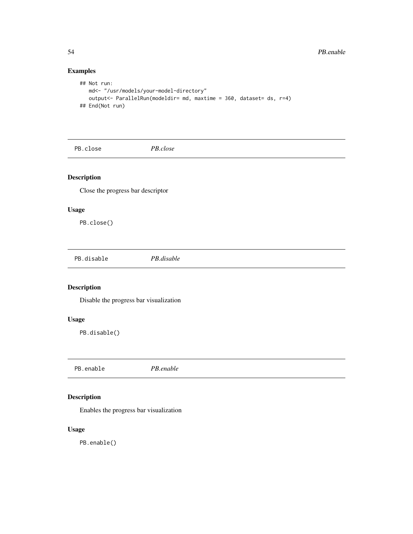# Examples

```
## Not run:
  md<- "/usr/models/your-model-directory"
  output<- ParallelRun(modeldir= md, maxtime = 360, dataset= ds, r=4)
## End(Not run)
```
PB.close *PB.close*

# Description

Close the progress bar descriptor

#### Usage

PB.close()

PB.disable *PB.disable*

# Description

Disable the progress bar visualization

# Usage

PB.disable()

PB.enable *PB.enable*

# Description

Enables the progress bar visualization

# Usage

PB.enable()

<span id="page-53-0"></span>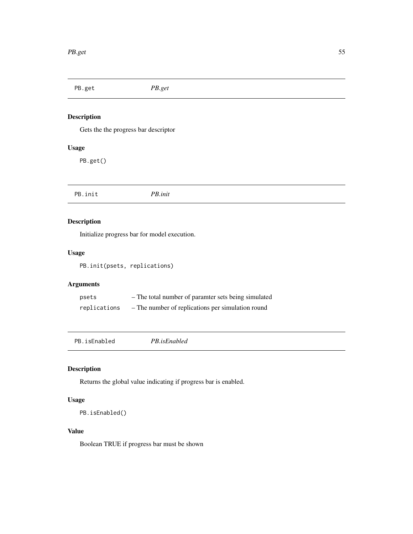<span id="page-54-0"></span>PB.get *PB.get* Description Gets the the progress bar descriptor Usage PB.get() PB.init *PB.init*

# Description

Initialize progress bar for model execution.

# Usage

PB.init(psets, replications)

# Arguments

| psets        | - The total number of paramter sets being simulated |
|--------------|-----------------------------------------------------|
| replications | - The number of replications per simulation round   |

PB.isEnabled *PB.isEnabled*

# Description

Returns the global value indicating if progress bar is enabled.

# Usage

```
PB.isEnabled()
```
# Value

Boolean TRUE if progress bar must be shown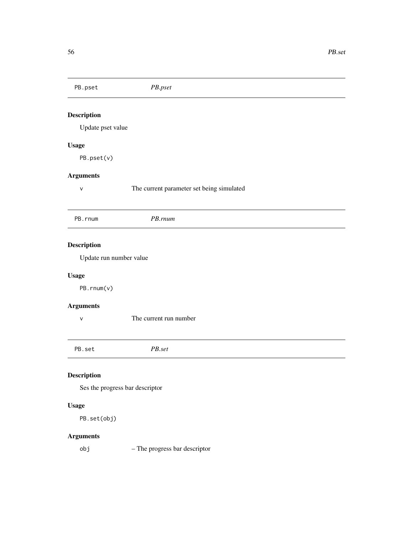<span id="page-55-0"></span>PB.pset *PB.pset* Description Update pset value Usage PB.pset(v) Arguments v The current parameter set being simulated PB.rnum *PB.rnum* Description Update run number value Usage PB.rnum(v) Arguments v The current run number PB.set *PB.set* Description Ses the progress bar descriptor Usage PB.set(obj)

# Arguments

obj – The progress bar descriptor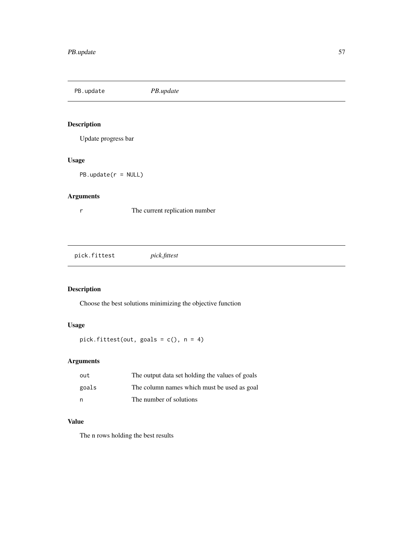<span id="page-56-0"></span>PB.update *PB.update*

# Description

Update progress bar

# Usage

PB.update(r = NULL)

# Arguments

r The current replication number

pick.fittest *pick.fittest*

# Description

Choose the best solutions minimizing the objective function

# Usage

pick.fittest(out, goals = c(), n = 4)

# Arguments

| out   | The output data set holding the values of goals |
|-------|-------------------------------------------------|
| goals | The column names which must be used as goal     |
| n     | The number of solutions                         |

#### Value

The n rows holding the best results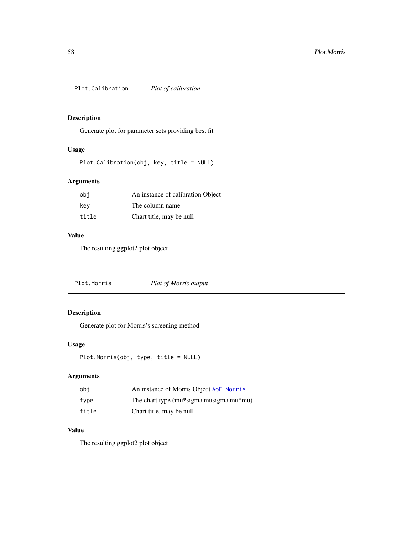<span id="page-57-0"></span>Plot.Calibration *Plot of calibration*

# Description

Generate plot for parameter sets providing best fit

# Usage

```
Plot.Calibration(obj, key, title = NULL)
```
# Arguments

| obi   | An instance of calibration Object |
|-------|-----------------------------------|
| key   | The column name                   |
| title | Chart title, may be null          |

# Value

The resulting ggplot2 plot object

Plot.Morris *Plot of Morris output*

# Description

Generate plot for Morris's screening method

# Usage

```
Plot.Morris(obj, type, title = NULL)
```
# Arguments

| obi   | An instance of Morris Object AoE. Morris |
|-------|------------------------------------------|
| type  | The chart type (mu*sigmalmusigmalmu*mu)  |
| title | Chart title, may be null                 |

# Value

The resulting ggplot2 plot object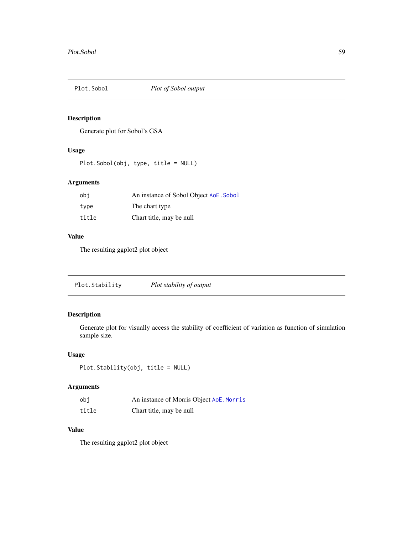<span id="page-58-0"></span>

# Description

Generate plot for Sobol's GSA

# Usage

Plot.Sobol(obj, type, title = NULL)

# Arguments

| obi   | An instance of Sobol Object AoE. Sobol |
|-------|----------------------------------------|
| type  | The chart type                         |
| title | Chart title, may be null               |

#### Value

The resulting ggplot2 plot object

| Plot.Stability<br>Plot stability of output |  |  |
|--------------------------------------------|--|--|
|--------------------------------------------|--|--|

# Description

Generate plot for visually access the stability of coefficient of variation as function of simulation sample size.

# Usage

Plot.Stability(obj, title = NULL)

# Arguments

| obi   | An instance of Morris Object AoE. Morris |
|-------|------------------------------------------|
| title | Chart title, may be null                 |

# Value

The resulting ggplot2 plot object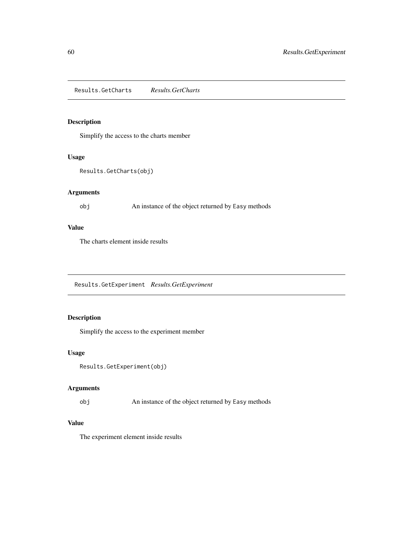<span id="page-59-0"></span>Results.GetCharts *Results.GetCharts*

# Description

Simplify the access to the charts member

#### Usage

```
Results.GetCharts(obj)
```
# Arguments

obj An instance of the object returned by Easy methods

# Value

The charts element inside results

Results.GetExperiment *Results.GetExperiment*

# Description

Simplify the access to the experiment member

### Usage

```
Results.GetExperiment(obj)
```
# Arguments

obj An instance of the object returned by Easy methods

# Value

The experiment element inside results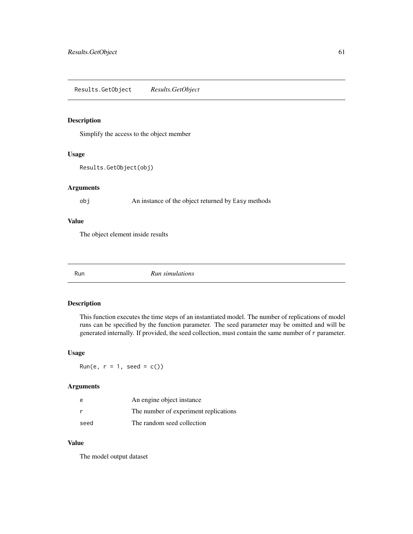<span id="page-60-1"></span>Results.GetObject *Results.GetObject*

#### Description

Simplify the access to the object member

#### Usage

Results.GetObject(obj)

# Arguments

obj An instance of the object returned by Easy methods

#### Value

The object element inside results

<span id="page-60-0"></span>

Run *Run simulations*

# Description

This function executes the time steps of an instantiated model. The number of replications of model runs can be specified by the function parameter. The seed parameter may be omitted and will be generated internally. If provided, the seed collection, must contain the same number of r parameter.

#### Usage

Run(e,  $r = 1$ , seed = c())

#### Arguments

| e    | An engine object instance             |
|------|---------------------------------------|
|      | The number of experiment replications |
| seed | The random seed collection            |

#### Value

The model output dataset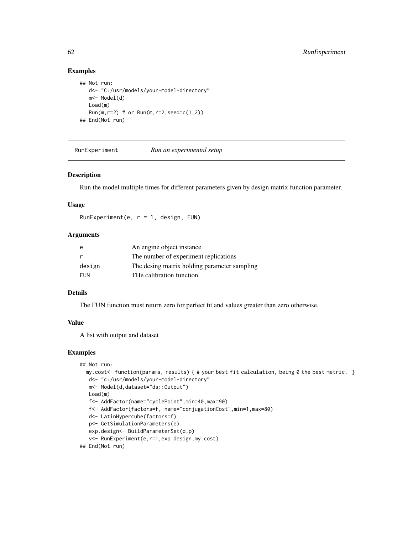# Examples

```
## Not run:
  d<- "C:/usr/models/your-model-directory"
  m<- Model(d)
  Load(m)
  Run(m, r=2) # or Run(m, r=2, seed=c(1,2))## End(Not run)
```
RunExperiment *Run an experimental setup*

#### Description

Run the model multiple times for different parameters given by design matrix function parameter.

#### Usage

RunExperiment(e,  $r = 1$ , design, FUN)

#### Arguments

| e      | An engine object instance                    |
|--------|----------------------------------------------|
| r      | The number of experiment replications        |
| design | The desing matrix holding parameter sampling |
| FUN    | THe calibration function.                    |

#### Details

The FUN function must return zero for perfect fit and values greater than zero otherwise.

#### Value

A list with output and dataset

```
## Not run:
 my.cost<- function(params, results) { # your best fit calculation, being 0 the best metric. }
  d<- "c:/usr/models/your-model-directory"
  m<- Model(d,dataset="ds::Output")
  Load(m)
  f<- AddFactor(name="cyclePoint",min=40,max=90)
  f<- AddFactor(factors=f, name="conjugationCost",min=1,max=80)
  d<- LatinHypercube(factors=f)
  p<- GetSimulationParameters(e)
  exp.design<- BuildParameterSet(d,p)
  v<- RunExperiment(e,r=1,exp.design,my.cost)
## End(Not run)
```
<span id="page-61-0"></span>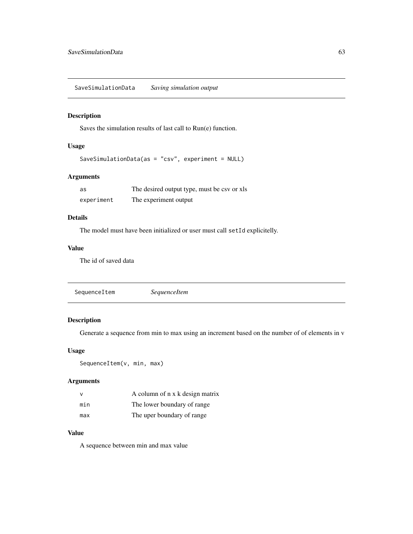# <span id="page-62-1"></span><span id="page-62-0"></span>Description

Saves the simulation results of last call to Run(e) function.

# Usage

```
SaveSimulationData(as = "csv", experiment = NULL)
```
# Arguments

| as         | The desired output type, must be csv or xls |
|------------|---------------------------------------------|
| experiment | The experiment output                       |

# Details

The model must have been initialized or user must call setId explicitelly.

# Value

The id of saved data

# Description

Generate a sequence from min to max using an increment based on the number of of elements in v

#### Usage

```
SequenceItem(v, min, max)
```
# Arguments

|     | A column of n x k design matrix |
|-----|---------------------------------|
| min | The lower boundary of range     |
| max | The uper boundary of range      |

#### Value

A sequence between min and max value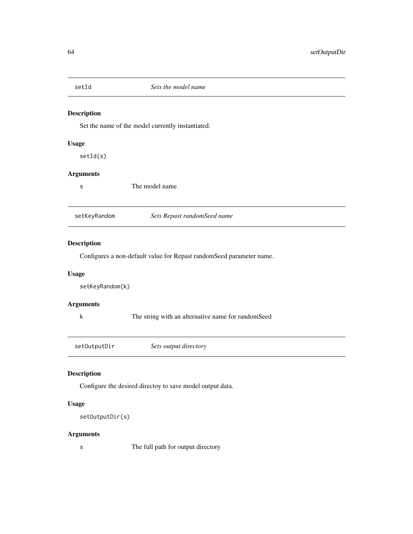<span id="page-63-0"></span>

#### Description

Set the name of the model currently instantiated.

s The model name

#### Usage

setId(s)

# Arguments

| setKeyRandom | Sets Repast randomSeed name |
|--------------|-----------------------------|

#### Description

Configures a non-default value for Repast randomSeed parameter name.

# Usage

setKeyRandom(k)

#### Arguments

k The string with an alternative name for randomSeed

setOutputDir *Sets output directory*

# Description

Configure the desired directoy to save model output data.

# Usage

```
setOutputDir(s)
```
#### Arguments

s The full path for output directory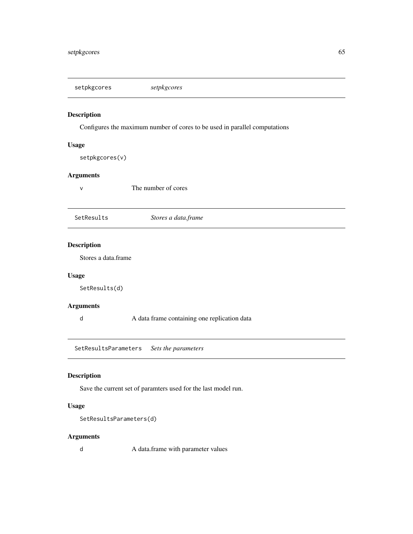<span id="page-64-0"></span>setpkgcores *setpkgcores*

# Description

Configures the maximum number of cores to be used in parallel computations

#### Usage

setpkgcores(v)

#### Arguments

v The number of cores

SetResults *Stores a data.frame*

# Description

Stores a data.frame

#### Usage

SetResults(d)

#### Arguments

d A data frame containing one replication data

SetResultsParameters *Sets the parameters*

#### Description

Save the current set of paramters used for the last model run.

# Usage

```
SetResultsParameters(d)
```
### Arguments

d A data.frame with parameter values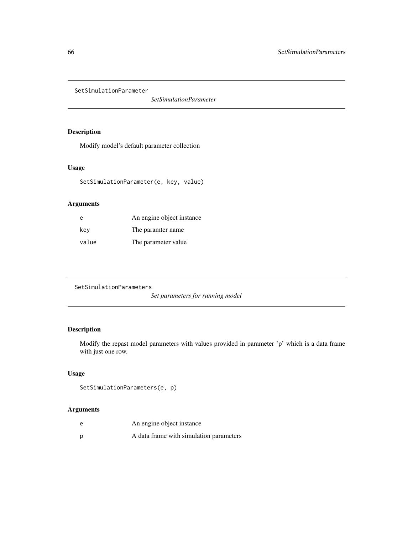<span id="page-65-0"></span>SetSimulationParameter

*SetSimulationParameter*

# Description

Modify model's default parameter collection

#### Usage

```
SetSimulationParameter(e, key, value)
```
# Arguments

| e     | An engine object instance |
|-------|---------------------------|
| key   | The paramter name.        |
| value | The parameter value       |

```
SetSimulationParameters
```
*Set parameters for running model*

# Description

Modify the repast model parameters with values provided in parameter 'p' which is a data frame with just one row.

#### Usage

```
SetSimulationParameters(e, p)
```
# Arguments

| e | An engine object instance               |
|---|-----------------------------------------|
| Ď | A data frame with simulation parameters |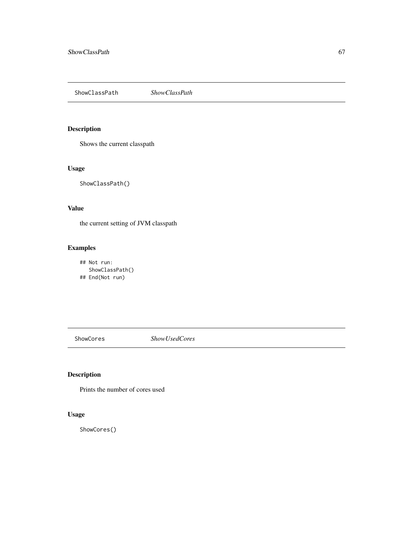<span id="page-66-0"></span>ShowClassPath *ShowClassPath*

# Description

Shows the current classpath

# Usage

ShowClassPath()

# Value

the current setting of JVM classpath

# Examples

## Not run: ShowClassPath() ## End(Not run)

ShowCores *ShowUsedCores*

# Description

Prints the number of cores used

# Usage

ShowCores()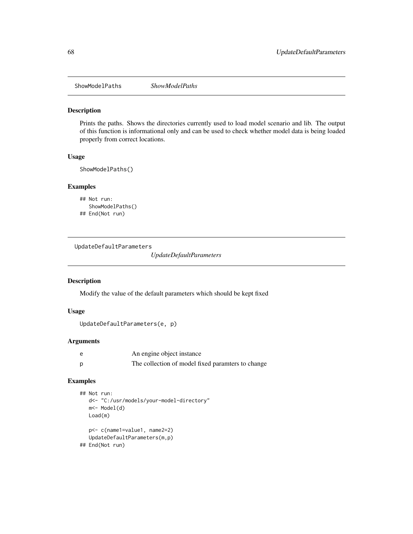<span id="page-67-0"></span>ShowModelPaths *ShowModelPaths*

#### Description

Prints the paths. Shows the directories currently used to load model scenario and lib. The output of this function is informational only and can be used to check whether model data is being loaded properly from correct locations.

#### Usage

ShowModelPaths()

#### Examples

```
## Not run:
  ShowModelPaths()
## End(Not run)
```
UpdateDefaultParameters

*UpdateDefaultParameters*

#### Description

Modify the value of the default parameters which should be kept fixed

#### Usage

```
UpdateDefaultParameters(e, p)
```
# Arguments

| e | An engine object instance                         |
|---|---------------------------------------------------|
|   | The collection of model fixed paramters to change |

```
## Not run:
  d<- "C:/usr/models/your-model-directory"
  m<- Model(d)
  Load(m)
  p<- c(name1=value1, name2=2)
  UpdateDefaultParameters(m,p)
## End(Not run)
```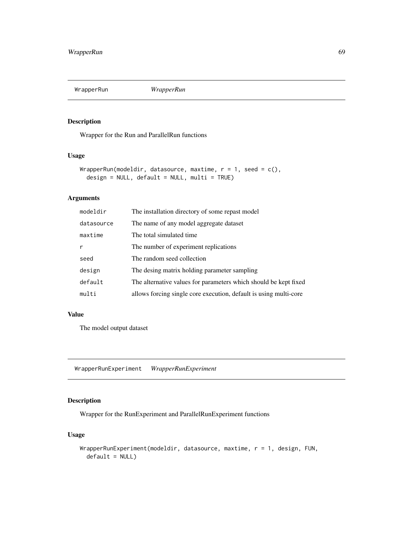<span id="page-68-0"></span>

# Description

Wrapper for the Run and ParallelRun functions

# Usage

```
WrapperRun(modeldir, datasource, maxtime, r = 1, seed = c(),
  design = NULL, default = NULL, multi = TRUE)
```
#### Arguments

| modeldir     | The installation directory of some repast model                   |
|--------------|-------------------------------------------------------------------|
| datasource   | The name of any model aggregate dataset                           |
| maxtime      | The total simulated time.                                         |
| $\mathsf{r}$ | The number of experiment replications                             |
| seed         | The random seed collection                                        |
| design       | The desing matrix holding parameter sampling                      |
| default      | The alternative values for parameters which should be kept fixed  |
| multi        | allows forcing single core execution, default is using multi-core |

#### Value

The model output dataset

WrapperRunExperiment *WrapperRunExperiment*

# Description

Wrapper for the RunExperiment and ParallelRunExperiment functions

#### Usage

```
WrapperRunExperiment(modeldir, datasource, maxtime, r = 1, design, FUN,
  default = NULL)
```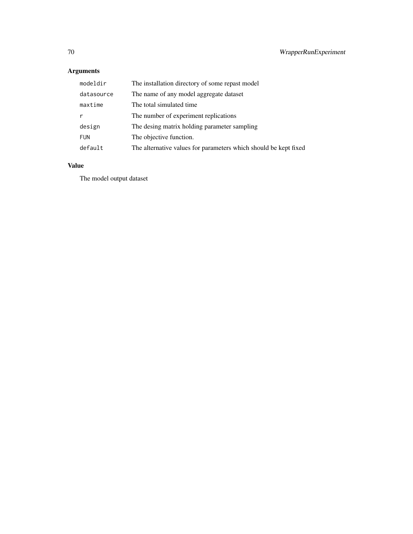# Arguments

| modeldir   | The installation directory of some repast model                  |
|------------|------------------------------------------------------------------|
| datasource | The name of any model aggregate dataset                          |
| maxtime    | The total simulated time.                                        |
|            | The number of experiment replications                            |
| design     | The desing matrix holding parameter sampling                     |
| <b>FUN</b> | The objective function.                                          |
| default    | The alternative values for parameters which should be kept fixed |

# Value

The model output dataset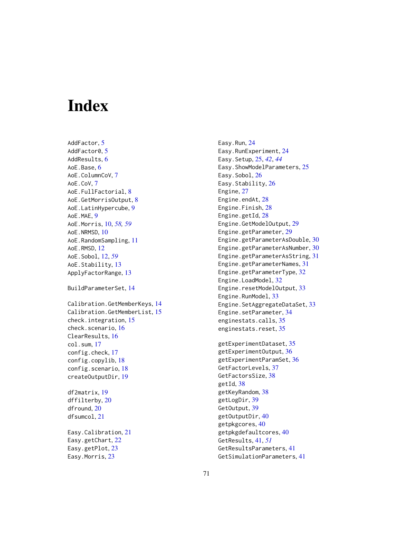# **Index**

AddFactor, [5](#page-4-0) AddFactor0, [5](#page-4-0) AddResults, [6](#page-5-0) AoE.Base, [6](#page-5-0) AoE.ColumnCoV, [7](#page-6-0) AoE.CoV, [7](#page-6-0) AoE.FullFactorial, [8](#page-7-0) AoE.GetMorrisOutput, [8](#page-7-0) AoE.LatinHypercube, [9](#page-8-0) AoE.MAE, [9](#page-8-0) AoE.Morris, [10,](#page-9-1) *[58,](#page-57-0) [59](#page-58-0)* AoE.NRMSD, [10](#page-9-1) AoE.RandomSampling, [11](#page-10-0) AoE.RMSD, [12](#page-11-1) AoE.Sobol, [12,](#page-11-1) *[59](#page-58-0)* AoE.Stability, [13](#page-12-0) ApplyFactorRange, [13](#page-12-0) BuildParameterSet, [14](#page-13-0) Calibration.GetMemberKeys, [14](#page-13-0) Calibration.GetMemberList, [15](#page-14-0) check.integration, [15](#page-14-0) check.scenario, [16](#page-15-0) ClearResults, [16](#page-15-0) col.sum, [17](#page-16-0) config.check, [17](#page-16-0) config.copylib, [18](#page-17-0) config.scenario, [18](#page-17-0) createOutputDir, [19](#page-18-0) df2matrix, [19](#page-18-0) dffilterby, [20](#page-19-0) dfround, [20](#page-19-0) dfsumcol, [21](#page-20-0) Easy.Calibration, [21](#page-20-0) Easy.getChart, [22](#page-21-0) Easy.getPlot, [23](#page-22-0) Easy.Morris, [23](#page-22-0)

Easy.Run, [24](#page-23-0) Easy.RunExperiment, [24](#page-23-0) Easy.Setup, [25,](#page-24-1) *[42](#page-41-1)*, *[44](#page-43-0)* Easy.ShowModelParameters, [25](#page-24-1) Easy.Sobol, [26](#page-25-0) Easy.Stability, [26](#page-25-0) Engine, [27](#page-26-0) Engine.endAt, [28](#page-27-0) Engine.Finish, [28](#page-27-0) Engine.getId, [28](#page-27-0) Engine.GetModelOutput, [29](#page-28-0) Engine.getParameter, [29](#page-28-0) Engine.getParameterAsDouble, [30](#page-29-0) Engine.getParameterAsNumber, [30](#page-29-0) Engine.getParameterAsString, [31](#page-30-0) Engine.getParameterNames, [31](#page-30-0) Engine.getParameterType, [32](#page-31-0) Engine.LoadModel, [32](#page-31-0) Engine.resetModelOutput, [33](#page-32-0) Engine.RunModel, [33](#page-32-0) Engine.SetAggregateDataSet, [33](#page-32-0) Engine.setParameter, [34](#page-33-0) enginestats.calls, [35](#page-34-0) enginestats.reset, [35](#page-34-0)

getExperimentDataset, [35](#page-34-0) getExperimentOutput, [36](#page-35-0) getExperimentParamSet, [36](#page-35-0) GetFactorLevels, [37](#page-36-0) GetFactorsSize, [38](#page-37-0) getId, [38](#page-37-0) getKeyRandom, [38](#page-37-0) getLogDir, [39](#page-38-0) GetOutput, [39](#page-38-0) getOutputDir, [40](#page-39-0) getpkgcores, [40](#page-39-0) getpkgdefaultcores, [40](#page-39-0) GetResults, [41,](#page-40-1) *[51](#page-50-0)* GetResultsParameters, [41](#page-40-1) GetSimulationParameters, [41](#page-40-1)